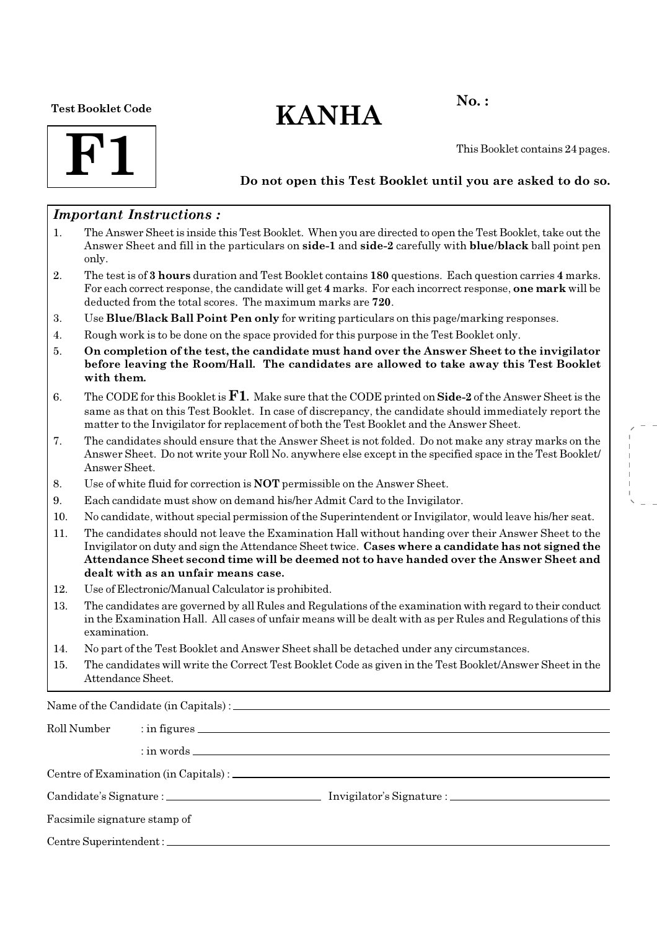#### Test Booklet Code

# $KANHA$ <sup>No.:</sup>



This Booklet contains 24 pages.

## Do not open this Test Booklet until you are asked to do so.

## Important Instructions :

- 1. The Answer Sheet is inside this Test Booklet. When you are directed to open the Test Booklet, take out the Answer Sheet and fill in the particulars on side-1 and side-2 carefully with blue/black ball point pen only.
- 2. The test is of 3 hours duration and Test Booklet contains 180 questions. Each question carries 4 marks. For each correct response, the candidate will get 4 marks. For each incorrect response, one mark will be deducted from the total scores. The maximum marks are 720.
- 3. Use Blue/Black Ball Point Pen only for writing particulars on this page/marking responses.
- 4. Rough work is to be done on the space provided for this purpose in the Test Booklet only.
- 5. On completion of the test, the candidate must hand over the Answer Sheet to the invigilator before leaving the Room/Hall. The candidates are allowed to take away this Test Booklet with them.
- 6. The CODE for this Booklet is  $\mathbf{F1}$ . Make sure that the CODE printed on **Side-2** of the Answer Sheet is the same as that on this Test Booklet. In case of discrepancy, the candidate should immediately report the matter to the Invigilator for replacement of both the Test Booklet and the Answer Sheet.
- 7. The candidates should ensure that the Answer Sheet is not folded. Do not make any stray marks on the Answer Sheet. Do not write your Roll No. anywhere else except in the specified space in the Test Booklet/ Answer Sheet.
- 8. Use of white fluid for correction is NOT permissible on the Answer Sheet.
- 9. Each candidate must show on demand his/her Admit Card to the Invigilator.
- 10. No candidate, without special permission of the Superintendent or Invigilator, would leave his/her seat.
- 11. The candidates should not leave the Examination Hall without handing over their Answer Sheet to the Invigilator on duty and sign the Attendance Sheet twice. Cases where a candidate has not signed the Attendance Sheet second time will be deemed not to have handed over the Answer Sheet and dealt with as an unfair means case.
- 12. Use of Electronic/Manual Calculator is prohibited.
- 13. The candidates are governed by all Rules and Regulations of the examination with regard to their conduct in the Examination Hall. All cases of unfair means will be dealt with as per Rules and Regulations of this examination.
- 14. No part of the Test Booklet and Answer Sheet shall be detached under any circumstances.
- 15. The candidates will write the Correct Test Booklet Code as given in the Test Booklet/Answer Sheet in the Attendance Sheet.

Name of the Candidate (in Capitals) :

| Roll Number                  |  |  |  |  |
|------------------------------|--|--|--|--|
|                              |  |  |  |  |
|                              |  |  |  |  |
|                              |  |  |  |  |
| Facsimile signature stamp of |  |  |  |  |
|                              |  |  |  |  |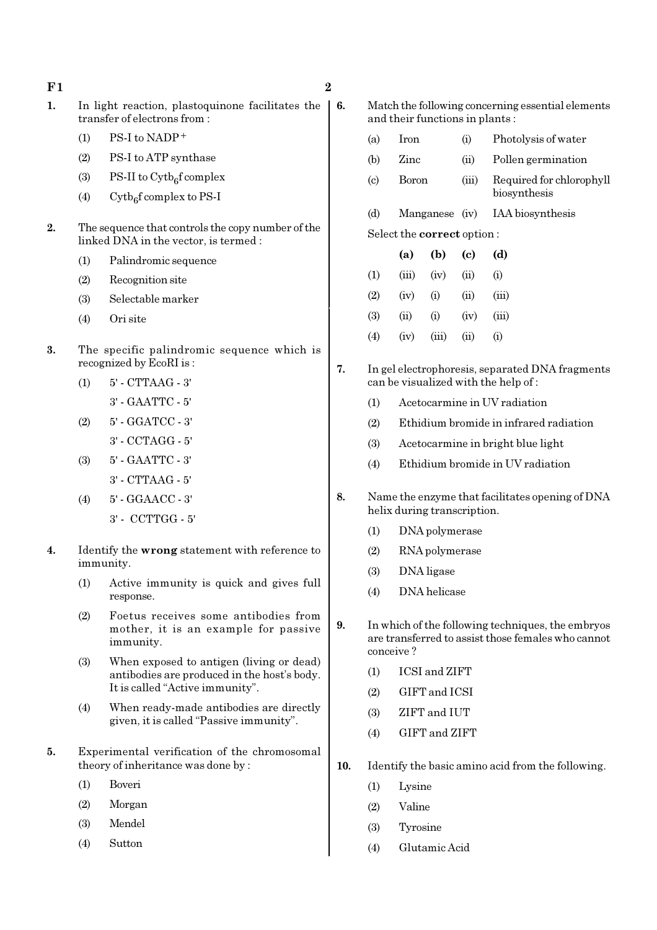- $F1$  2 1. In light reaction, plastoquinone facilitates the  $\vert 6$ . transfer of electrons from :
	- $(1)$  PS-I to NADP<sup>+</sup>
	- (2) PS-I to ATP synthase
	- (3) PS-II to  $\text{Cytb}_6\text{f}$  complex
	- (4) Cytb<sub>6</sub>f complex to PS-I
- 2. The sequence that controls the copy number of the linked DNA in the vector, is termed :
	- (1) Palindromic sequence
	- (2) Recognition site
	- (3) Selectable marker
	- (4) Ori site
- 3. The specific palindromic sequence which is recognized by EcoRI is :
	- (1) 5' CTTAAG 3' 3' - GAATTC - 5'
	- (2) 5' GGATCC 3'
	- 3' CCTAGG 5'
	- (3) 5' GAATTC 3' 3' - CTTAAG - 5'
	- (4) 5' GGAACC 3' 3' - CCTTGG - 5'
- 4. Identify the wrong statement with reference to immunity.
	- (1) Active immunity is quick and gives full response.
	- (2) Foetus receives some antibodies from mother, it is an example for passive immunity.
	- (3) When exposed to antigen (living or dead) antibodies are produced in the host's body. It is called "Active immunity".
	- (4) When ready-made antibodies are directly given, it is called "Passive immunity".
- 5. Experimental verification of the chromosomal theory of inheritance was done by :
	- (1) Boveri
	- (2) Morgan
	- (3) Mendel
	- (4) Sutton
- Match the following concerning essential elements and their functions in plants :
- (a) Iron (i) Photolysis of water (b) Zinc (ii) Pollen germination (c) Boron (iii) Required for chlorophyll biosynthesis (d) Manganese (iv) IAA biosynthesis Select the correct option : (a) (b) (c) (d)  $(1)$   $(iii)$   $(iv)$   $(ii)$   $(i)$ (2) (iv) (i) (ii) (iii) (3) (ii) (i) (iv) (iii)  $(4)$   $(iv)$   $(iii)$   $(ii)$   $(i)$
- 7. In gel electrophoresis, separated DNA fragments can be visualized with the help of :
	- (1) Acetocarmine in UV radiation
	- (2) Ethidium bromide in infrared radiation
	- (3) Acetocarmine in bright blue light
	- (4) Ethidium bromide in UV radiation
- 8. Name the enzyme that facilitates opening of DNA helix during transcription.
	- (1) DNA polymerase
	- (2) RNA polymerase
	- (3) DNA ligase
	- (4) DNA helicase
- 9. In which of the following techniques, the embryos are transferred to assist those females who cannot conceive ?
	- (1) ICSI and ZIFT
	- (2) GIFT and ICSI
	- (3) ZIFT and IUT
	- (4) GIFT and ZIFT
- 10. Identify the basic amino acid from the following.
	- (1) Lysine
	- (2) Valine
	- (3) Tyrosine
	- (4) Glutamic Acid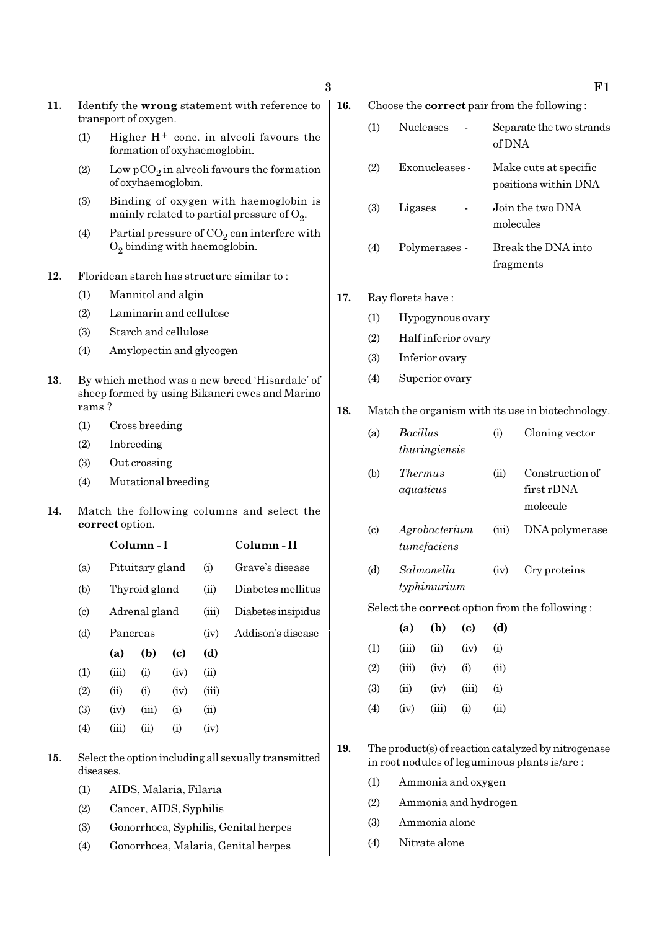- 11. Identify the wrong statement with reference to transport of oxygen.
	- (1) Higher  $H^+$  conc. in alveoli favours the formation of oxyhaemoglobin.
	- (2) Low  $pCO_2$  in alveoli favours the formation of oxyhaemoglobin.
	- (3) Binding of oxygen with haemoglobin is mainly related to partial pressure of  $\mathrm{O}_2$ .
	- (4) Partial pressure of  $CO_2$  can interfere with  $O_2$  binding with haemoglobin.
- 12. Floridean starch has structure similar to :
	- (1) Mannitol and algin
	- (2) Laminarin and cellulose
	- (3) Starch and cellulose
	- (4) Amylopectin and glycogen
- 13. By which method was a new breed 'Hisardale' of sheep formed by using Bikaneri ewes and Marino rams ?
	- (1) Cross breeding
	- (2) Inbreeding
	- (3) Out crossing
	- (4) Mutational breeding
- 14. Match the following columns and select the correct option.

|                             |          | Column - I      |      | Column - II |                    |
|-----------------------------|----------|-----------------|------|-------------|--------------------|
| (a)                         |          | Pituitary gland |      | (i)         | Grave's disease    |
| (b)                         |          | Thyroid gland   |      |             | Diabetes mellitus  |
| $\left( \mathrm{c} \right)$ |          | Adrenal gland   |      |             | Diabetes insipidus |
| (d)                         | Pancreas |                 |      | (iv)        | Addison's disease  |
|                             | (a)      | (b)             | (c)  | (d)         |                    |
| (1)                         | (iii)    | (i)             | (iv) | (ii)        |                    |
| (2)                         | (ii)     | (i)             | (iv) | (iii)       |                    |
| (3)                         | (iv)     | (iii)           | (i)  | (ii)        |                    |
| $\left( 4\right)$           | (iii)    | (ii)            | (i)  | (iv)        |                    |
|                             |          |                 |      |             |                    |

- 15. Select the option including all sexually transmitted diseases.
	- (1) AIDS, Malaria, Filaria
	- (2) Cancer, AIDS, Syphilis
	- (3) Gonorrhoea, Syphilis, Genital herpes
	- (4) Gonorrhoea, Malaria, Genital herpes

16. Choose the correct pair from the following :

| (1) | <b>Nucleases</b> | Separate the two strands<br>of DNA            |
|-----|------------------|-----------------------------------------------|
| (2) | Exonucleases -   | Make cuts at specific<br>positions within DNA |
| (3) | Ligases          | Join the two DNA<br>molecules                 |
| (4) | Polymerases -    | Break the DNA into<br>fragments               |

#### 17. Ray florets have :

- (1) Hypogynous ovary
- (2) Half inferior ovary
- (3) Inferior ovary
- (4) Superior ovary

#### 18. Match the organism with its use in biotechnology.

| (a)       | Bacillus      | (1) | Cloning vector  |
|-----------|---------------|-----|-----------------|
|           | thuringiensis |     |                 |
| $\Lambda$ | Thomma        |     | Construction of |

- (b) Thermus (ii) Construction of aquaticus first rDNA molecule
- (c) Agrobacterium (iii) DNA polymerase tumefaciens
- (d) Salmonella (iv) Cry proteins typhimurium

Select the correct option from the following :

|                   | (a)   | (b)   | (c)      | (d)  |
|-------------------|-------|-------|----------|------|
| (1)               | (iii) | (ii)  | (iv)     | (i)  |
| (2)               | (iii) | (iv)  | (i)      | (ii) |
| (3)               | (ii)  | (iv)  | (iii)    | (i)  |
| $\left( 4\right)$ | (iv)  | (iii) | $\rm(i)$ | (ii) |

19. The product(s) of reaction catalyzed by nitrogenase in root nodules of leguminous plants is/are :

- (1) Ammonia and oxygen
- (2) Ammonia and hydrogen
- (3) Ammonia alone
- (4) Nitrate alone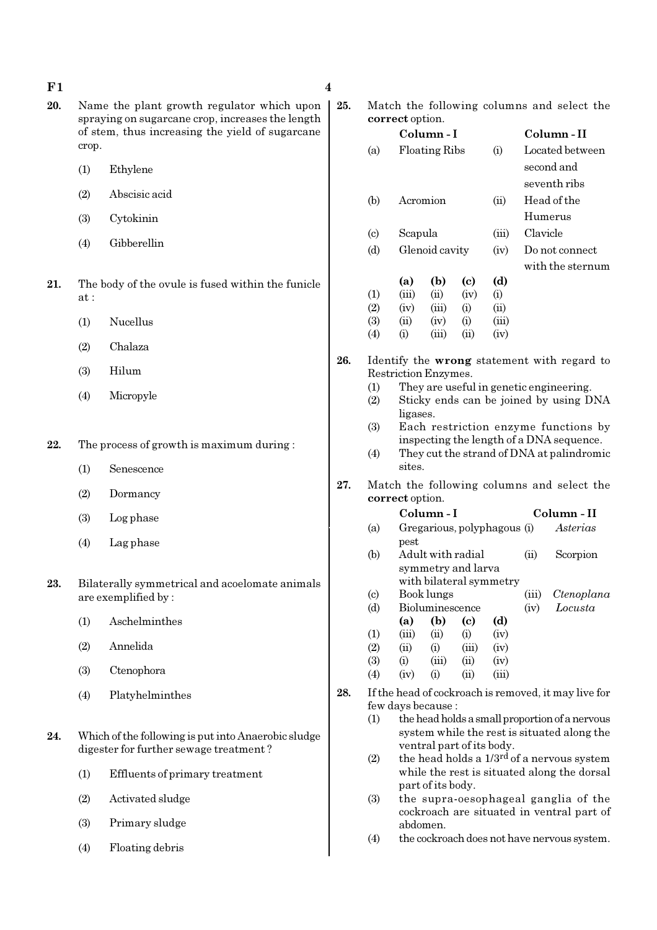$F1$  4

- 20. Name the plant growth regulator which upon spraying on sugarcane crop, increases the length of stem, thus increasing the yield of sugarcane crop.
	- (1) Ethylene
	- (2) Abscisic acid
	- (3) Cytokinin
	- (4) Gibberellin
- 21. The body of the ovule is fused within the funicle at :
	- (1) Nucellus
	- (2) Chalaza
	- (3) Hilum
	- (4) Micropyle

22. The process of growth is maximum during :

- (1) Senescence
- (2) Dormancy
- (3) Log phase
- (4) Lag phase
- 23. Bilaterally symmetrical and acoelomate animals are exemplified by :
	- (1) Aschelminthes
	- (2) Annelida
	- (3) Ctenophora
	- (4) Platyhelminthes
- 24. Which of the following is put into Anaerobic sludge digester for further sewage treatment ?
	- (1) Effluents of primary treatment
	- (2) Activated sludge
	- (3) Primary sludge
	- (4) Floating debris

25. Match the following columns and select the correct option.

|     |                             | correct option.      |                           |       |                             |          |                                                                                  |
|-----|-----------------------------|----------------------|---------------------------|-------|-----------------------------|----------|----------------------------------------------------------------------------------|
|     |                             |                      | Column - I                |       |                             |          | Column - II                                                                      |
|     | (a)                         |                      | <b>Floating Ribs</b>      |       | (i)                         |          | Located between                                                                  |
|     |                             |                      |                           |       |                             |          | second and                                                                       |
|     |                             |                      |                           |       |                             |          |                                                                                  |
|     |                             |                      |                           |       |                             |          | seventh ribs                                                                     |
|     | (b)                         |                      | Acromion                  |       | (ii)                        |          | Head of the                                                                      |
|     |                             |                      |                           |       |                             |          | Humerus                                                                          |
|     | $\left( \circ \right)$      | Scapula              |                           |       | (iii)                       | Clavicle |                                                                                  |
|     | (d)                         |                      | Glenoid cavity            |       | (iv)                        |          | Do not connect                                                                   |
|     |                             |                      |                           |       |                             |          | with the sternum                                                                 |
|     |                             | (a)                  | (b)                       | (c)   | (d)                         |          |                                                                                  |
|     | (1)                         | (iii)                | (ii)                      | (iv)  | (i)                         |          |                                                                                  |
|     | (2)                         | (iv)                 | (iii)                     | (i)   | (ii)                        |          |                                                                                  |
|     | (3)                         | (ii)                 | (iv)                      | (i)   | (iii)                       |          |                                                                                  |
|     | (4)                         | (i)                  | (iii)                     | (ii)  | (iv)                        |          |                                                                                  |
|     |                             |                      |                           |       |                             |          |                                                                                  |
| 26. |                             |                      |                           |       |                             |          | Identify the wrong statement with regard to                                      |
|     |                             | Restriction Enzymes. |                           |       |                             |          |                                                                                  |
|     | (1)                         |                      |                           |       |                             |          | They are useful in genetic engineering.                                          |
|     | (2)                         |                      |                           |       |                             |          | Sticky ends can be joined by using DNA                                           |
|     |                             | ligases.             |                           |       |                             |          |                                                                                  |
|     | (3)                         |                      |                           |       |                             |          | Each restriction enzyme functions by<br>inspecting the length of a DNA sequence. |
|     | (4)                         |                      |                           |       |                             |          | They cut the strand of DNA at palindromic                                        |
|     |                             | sites.               |                           |       |                             |          |                                                                                  |
| 27. |                             |                      |                           |       |                             |          |                                                                                  |
|     |                             | correct option.      |                           |       |                             |          | Match the following columns and select the                                       |
|     |                             |                      | Column-I                  |       |                             |          | Column - II                                                                      |
|     | (a)                         |                      |                           |       | Gregarious, polyphagous (i) |          | Asterias                                                                         |
|     |                             | pest                 |                           |       |                             |          |                                                                                  |
|     | (b)                         |                      | Adult with radial         |       |                             | (ii)     | Scorpion                                                                         |
|     |                             |                      | symmetry and larva        |       |                             |          |                                                                                  |
|     |                             |                      |                           |       | with bilateral symmetry     |          |                                                                                  |
|     | $\left( \mathrm{c} \right)$ |                      | Book lungs                |       |                             | (iii)    | Ctenoplana                                                                       |
|     | (d)                         |                      | Bioluminescence           |       |                             | (iv)     | Locusta                                                                          |
|     |                             | (a)                  | (b)                       | (c)   | (d)                         |          |                                                                                  |
|     | (1)                         | (iii)                | (ii)                      | (i)   | (iv)                        |          |                                                                                  |
|     | (2)                         | (ii)                 | (i)                       | (iii) | (iv)                        |          |                                                                                  |
|     | (3)                         | (i)                  | (iii)                     | (ii)  | (iv)                        |          |                                                                                  |
|     | (4)                         | (iv)                 | (i)                       | (ii)  | (iii)                       |          |                                                                                  |
| 28. |                             |                      |                           |       |                             |          | If the head of cockroach is removed, it may live for                             |
|     |                             | few days because :   |                           |       |                             |          |                                                                                  |
|     | (1)                         |                      |                           |       |                             |          | the head holds a small proportion of a nervous                                   |
|     |                             |                      |                           |       |                             |          | system while the rest is situated along the                                      |
|     |                             |                      | ventral part of its body. |       |                             |          |                                                                                  |
|     | (2)                         |                      |                           |       |                             |          | the head holds a 1/3 <sup>rd</sup> of a nervous system                           |
|     |                             |                      | part of its body.         |       |                             |          | while the rest is situated along the dorsal                                      |
|     |                             |                      |                           |       |                             |          |                                                                                  |

- (3) the supra-oesophageal ganglia of the cockroach are situated in ventral part of abdomen.
- (4) the cockroach does not have nervous system.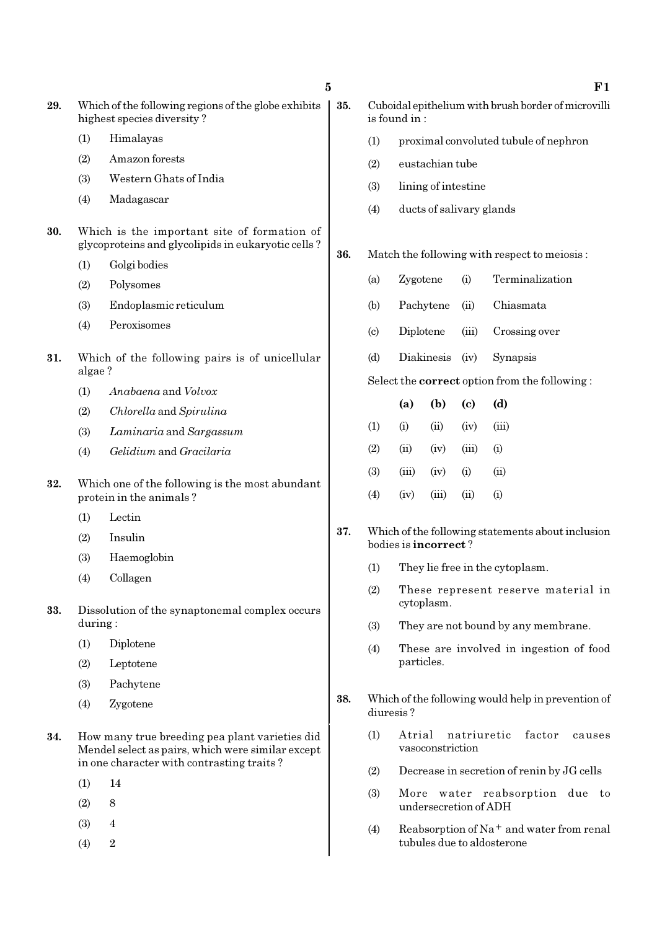- 29. Which of the following regions of the globe exhibits highest species diversity ?
	- (1) Himalayas
	- (2) Amazon forests
	- (3) Western Ghats of India
	- (4) Madagascar
- 30. Which is the important site of formation of glycoproteins and glycolipids in eukaryotic cells ?
	- (1) Golgi bodies
	- (2) Polysomes
	- (3) Endoplasmic reticulum
	- (4) Peroxisomes
- 31. Which of the following pairs is of unicellular algae ?
	- (1) Anabaena and Volvox
	- (2) Chlorella and Spirulina
	- (3) Laminaria and Sargassum
	- (4) Gelidium and Gracilaria
- 32. Which one of the following is the most abundant protein in the animals ?
	- (1) Lectin
	- (2) Insulin
	- (3) Haemoglobin
	- (4) Collagen
- 33. Dissolution of the synaptonemal complex occurs during :
	- (1) Diplotene
	- (2) Leptotene
	- (3) Pachytene
	- (4) Zygotene
- 34. How many true breeding pea plant varieties did Mendel select as pairs, which were similar except in one character with contrasting traits ?
	- (1) 14
	- $(2)$  8
	- (3) 4
	- $(4)$  2
- $5$  F1 35. Cuboidal epithelium with brush border of microvilli is found in : (1) proximal convoluted tubule of nephron (2) eustachian tube (3) lining of intestine (4) ducts of salivary glands 36. Match the following with respect to meiosis : (a) Zygotene (i) Terminalization (b) Pachytene (ii) Chiasmata (c) Diplotene (iii) Crossing over (d) Diakinesis (iv) Synapsis Select the correct option from the following : (a) (b) (c) (d)  $(1)$   $(ii)$   $(iii)$   $(iv)$   $(iii)$  $(2)$   $(ii)$   $(iv)$   $(iii)$   $(i)$  $(3)$   $(iii)$   $(iv)$   $(i)$   $(ii)$  $(4)$   $(iv)$   $(iii)$   $(ii)$   $(i)$ 37. Which of the following statements about inclusion bodies is incorrect ? (1) They lie free in the cytoplasm.
	- (2) These represent reserve material in cytoplasm.
	- (3) They are not bound by any membrane.
	- (4) These are involved in ingestion of food particles.
	- 38. Which of the following would help in prevention of diuresis ?
		- (1) Atrial natriuretic factor causes vasoconstriction
		- (2) Decrease in secretion of renin by JG cells
		- (3) More water reabsorption due to undersecretion of ADH
		- (4) Reabsorption of Na<sup>+</sup> and water from renal tubules due to aldosterone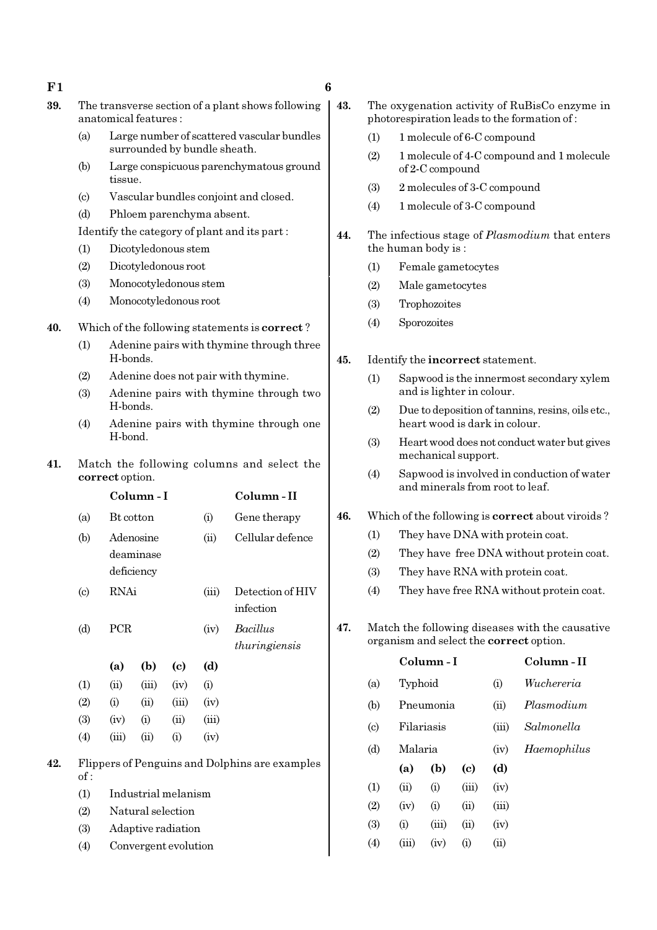- $F1$  6
- 39. The transverse section of a plant shows following anatomical features :
	- (a) Large number of scattered vascular bundles surrounded by bundle sheath.
	- (b) Large conspicuous parenchymatous ground tissue.
	- (c) Vascular bundles conjoint and closed.
	- (d) Phloem parenchyma absent.

#### Identify the category of plant and its part :

- (1) Dicotyledonous stem
- (2) Dicotyledonous root
- (3) Monocotyledonous stem
- (4) Monocotyledonous root
- 40. Which of the following statements is correct ?
	- (1) Adenine pairs with thymine through three H-bonds.
	- (2) Adenine does not pair with thymine.
	- (3) Adenine pairs with thymine through two H-bonds.
	- (4) Adenine pairs with thymine through one H-bond.
- 41. Match the following columns and select the correct option.

|     |                            |           | Column-I                                 |                      |       | Column - II                                    |  |
|-----|----------------------------|-----------|------------------------------------------|----------------------|-------|------------------------------------------------|--|
|     | (a)                        | Bt cotton |                                          |                      | (i)   | Gene therapy                                   |  |
|     | (b)                        |           | Adenosine                                |                      | (ii)  | Cellular defence                               |  |
|     |                            |           | deaminase                                |                      |       |                                                |  |
|     |                            |           | deficiency                               |                      |       |                                                |  |
|     | $\left( \mathrm{c}\right)$ | RNAi      |                                          |                      | (iii) | Detection of HIV                               |  |
|     |                            |           |                                          |                      |       | infection                                      |  |
|     | (d)                        | PCR       |                                          |                      | (iv)  | <b>Bacillus</b>                                |  |
|     |                            |           |                                          |                      |       | thuringiensis                                  |  |
|     |                            | (a)       | (b)                                      | (c)                  | (d)   |                                                |  |
|     | (1)                        | (ii)      | (iii)                                    | (iv)                 | (i)   |                                                |  |
|     | (2)                        | (i)       | (ii)                                     | (iii)                | (iv)  |                                                |  |
|     | (3)                        | (iv)      | (i)                                      | (ii)                 | (iii) |                                                |  |
|     | (4)                        | (iii)     | (ii)                                     | (i)                  | (iv)  |                                                |  |
| 42. | of:                        |           |                                          |                      |       | Flippers of Penguins and Dolphins are examples |  |
|     | (1)                        |           |                                          |                      |       |                                                |  |
|     | (2)                        |           | Industrial melanism<br>Natural selection |                      |       |                                                |  |
|     |                            |           |                                          |                      |       |                                                |  |
|     | (3)                        |           |                                          | Adaptive radiation   |       |                                                |  |
|     | (4)                        |           |                                          | Convergent evolution |       |                                                |  |

- 43. The oxygenation activity of RuBisCo enzyme in photorespiration leads to the formation of :
	- (1) 1 molecule of 6-C compound
	- (2) 1 molecule of 4-C compound and 1 molecule of 2-C compound
	- (3) 2 molecules of 3-C compound
	- (4) 1 molecule of 3-C compound
- 44. The infectious stage of *Plasmodium* that enters the human body is :
	- (1) Female gametocytes
	- (2) Male gametocytes
	- (3) Trophozoites
	- (4) Sporozoites

#### 45. Identify the incorrect statement.

- (1) Sapwood is the innermost secondary xylem and is lighter in colour.
- (2) Due to deposition of tannins, resins, oils etc., heart wood is dark in colour.
- (3) Heart wood does not conduct water but gives mechanical support.
- (4) Sapwood is involved in conduction of water and minerals from root to leaf.

### 46. Which of the following is correct about viroids ?

- (1) They have DNA with protein coat.
- (2) They have free DNA without protein coat.
- (3) They have RNA with protein coat.
- (4) They have free RNA without protein coat.
- 47. Match the following diseases with the causative organism and select the correct option.

|                            |       | Column-I   | Column-II                   |       |             |
|----------------------------|-------|------------|-----------------------------|-------|-------------|
| (a)                        |       | Typhoid    |                             |       | Wuchereria  |
| (b)                        |       | Pneumonia  |                             |       | Plasmodium  |
| $\left( \mathrm{c}\right)$ |       | Filariasis |                             |       | Salmonella  |
| (d)                        |       | Malaria    |                             |       | Haemophilus |
|                            | (a)   | (b)        | $\left( \mathrm{c} \right)$ | (d)   |             |
| (1)                        | (ii)  | (i)        | (iii)                       | (iv)  |             |
| (2)                        | (iv)  | (i)        | (ii)                        | (iii) |             |
| (3)                        | (i)   | (iii)      | (ii)                        | (iv)  |             |
| $\left( 4\right)$          | (iii) | (iv)       | (i)                         | (ii)  |             |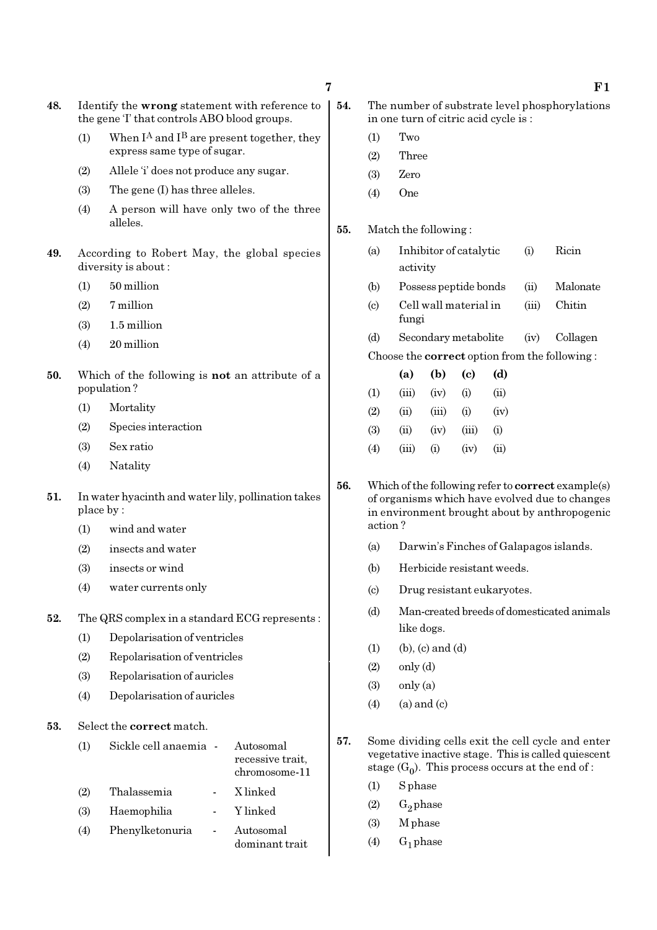48. Identify the wrong statement with reference to the gene 'I' that controls ABO blood groups.

- (1) When  $I^A$  and  $I^B$  are present together, they express same type of sugar.
- (2) Allele 'i' does not produce any sugar.
- (3) The gene (I) has three alleles.
- (4) A person will have only two of the three alleles.
- 49. According to Robert May, the global species diversity is about :
	- (1) 50 million
	- (2) 7 million
	- (3) 1.5 million
	- (4) 20 million
- 50. Which of the following is not an attribute of a population ?
	- (1) Mortality
	- (2) Species interaction
	- (3) Sex ratio
	- (4) Natality
- 51. In water hyacinth and water lily, pollination takes place by :
	- (1) wind and water
	- (2) insects and water
	- (3) insects or wind
	- (4) water currents only

52. The QRS complex in a standard ECG represents :

- (1) Depolarisation of ventricles
- (2) Repolarisation of ventricles
- (3) Repolarisation of auricles
- (4) Depolarisation of auricles

53. Select the correct match.

|     | Sickle cell anaemia - Autosomal | recessive trait,<br>chromosome-11 | 0 L. |
|-----|---------------------------------|-----------------------------------|------|
| (2) | Thalassemia                     | X linked                          |      |
| (3) | Haemophilia                     | Y linked                          |      |
|     |                                 |                                   |      |

(4) Phenylketonuria - Autosomal dominant trait

- 54. The number of substrate level phosphorylations in one turn of citric acid cycle is :
	- (1) Two
	- (2) Three
	- (3) Zero
	- (4) One

55. Match the following :

- (a) Inhibitor of catalytic (i) Ricin activity
- (b) Possess peptide bonds (ii) Malonate
- (c) Cell wall material in (iii) Chitin fungi
- (d) Secondary metabolite (iv) Collagen Choose the correct option from the following :

|                   | (a)   | (b)               | (c)   | (d)        |
|-------------------|-------|-------------------|-------|------------|
| $\rm(1)$          | (iii) | (iv)              | (i)   | (ii)       |
| (2)               | (ii)  | (iii)             | (i)   | (iv)       |
| (3)               | (ii)  | (iv)              | (iii) | (i)        |
| $\left( 4\right)$ | (iii) | $\left( 1\right)$ | (iv)  | $\rm (11)$ |

- 56. Which of the following refer to correct example(s) of organisms which have evolved due to changes in environment brought about by anthropogenic action ?
	- (a) Darwin's Finches of Galapagos islands.
	- (b) Herbicide resistant weeds.
	- (c) Drug resistant eukaryotes.
	- (d) Man-created breeds of domesticated animals like dogs.
	- $(1)$  (b),  $(c)$  and  $(d)$
	- $(2)$  only  $(d)$
	- $(3)$  only  $(a)$
	- $(4)$  (a) and (c)
- 57. Some dividing cells exit the cell cycle and enter vegetative inactive stage. This is called quiescent stage (G<sub>0</sub>). This process occurs at the end of :
	- (1) S phase
	- $(2)$  G<sub>2</sub> phase
	- (3) M phase
	- $(4)$  G<sub>1</sub> phase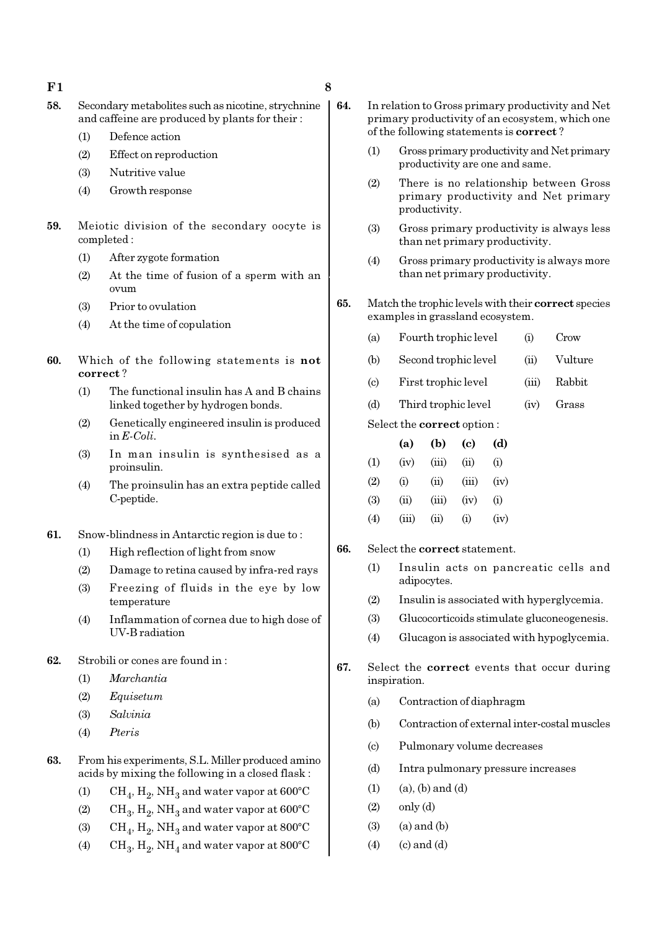- $F1$  8
- 
- 
- 58. Secondary metabolites such as nicotine, strychnine and caffeine are produced by plants for their :
	- (1) Defence action
	- (2) Effect on reproduction
	- (3) Nutritive value
	- (4) Growth response
- 59. Meiotic division of the secondary oocyte is completed :
	- (1) After zygote formation
	- (2) At the time of fusion of a sperm with an ovum
	- (3) Prior to ovulation
	- (4) At the time of copulation
- 60. Which of the following statements is not correct ?
	- (1) The functional insulin has A and B chains linked together by hydrogen bonds.
	- (2) Genetically engineered insulin is produced in E-Coli.
	- (3) In man insulin is synthesised as a proinsulin.
	- (4) The proinsulin has an extra peptide called C-peptide.
- 61. Snow-blindness in Antarctic region is due to :
	- (1) High reflection of light from snow
	- (2) Damage to retina caused by infra-red rays
	- (3) Freezing of fluids in the eye by low temperature
	- (4) Inflammation of cornea due to high dose of UV-B radiation
- 62. Strobili or cones are found in :
	- (1) Marchantia
	- (2) Equisetum
	- (3) Salvinia
	- (4) Pteris
- 63. From his experiments, S.L. Miller produced amino acids by mixing the following in a closed flask :
	- (1)  $\mathrm{CH}_4, \mathrm{H}_2, \mathrm{NH}_3$  and water vapor at 600°C
	- (2)  $\mathrm{CH}_3, \mathrm{H}_2, \mathrm{NH}_3$  and water vapor at 600°C
	- (3)  $\mathrm{CH}_4, \mathrm{H}_2, \mathrm{NH}_3$  and water vapor at 800°C
	- (4)  $\text{CH}_3, \text{H}_2, \text{NH}_4$  and water vapor at 800°C
- 64. In relation to Gross primary productivity and Net primary productivity of an ecosystem, which one of the following statements is correct ?
	- (1) Gross primary productivity and Net primary productivity are one and same.
	- (2) There is no relationship between Gross primary productivity and Net primary productivity.
	- (3) Gross primary productivity is always less than net primary productivity.
	- (4) Gross primary productivity is always more than net primary productivity.
- 65. Match the trophic levels with their correct species examples in grassland ecosystem.
	- (a) Fourth trophic level (i) Crow
		- (b) Second trophic level (ii) Vulture
		- (c) First trophic level (iii) Rabbit
		- (d) Third trophic level (iv) Grass

Select the correct option :

|     | (a)      | (b)    | (c)      | (d)  |
|-----|----------|--------|----------|------|
| (1) | (iv)     | (iii)  | (ii)     | (i)  |
| (2) | $\rm(i)$ | (ii)   | (iii)    | (iv) |
| (3) | (ii)     | (iii)  | (iv)     | (i)  |
| (4) | (iii)    | $\sin$ | $\rm(i)$ | (iv) |

- 66. Select the correct statement.
	- (1) Insulin acts on pancreatic cells and adipocytes.
	- (2) Insulin is associated with hyperglycemia.
	- (3) Glucocorticoids stimulate gluconeogenesis.
	- (4) Glucagon is associated with hypoglycemia.
- 67. Select the correct events that occur during inspiration.
	- (a) Contraction of diaphragm
	- (b) Contraction of external inter-costal muscles
	- (c) Pulmonary volume decreases
	- (d) Intra pulmonary pressure increases
	- $(1)$   $(a)$ ,  $(b)$  and  $(d)$
	- $(2)$  only  $(d)$
	- $(3)$   $(a)$  and  $(b)$
	- $(4)$  (c) and  $(d)$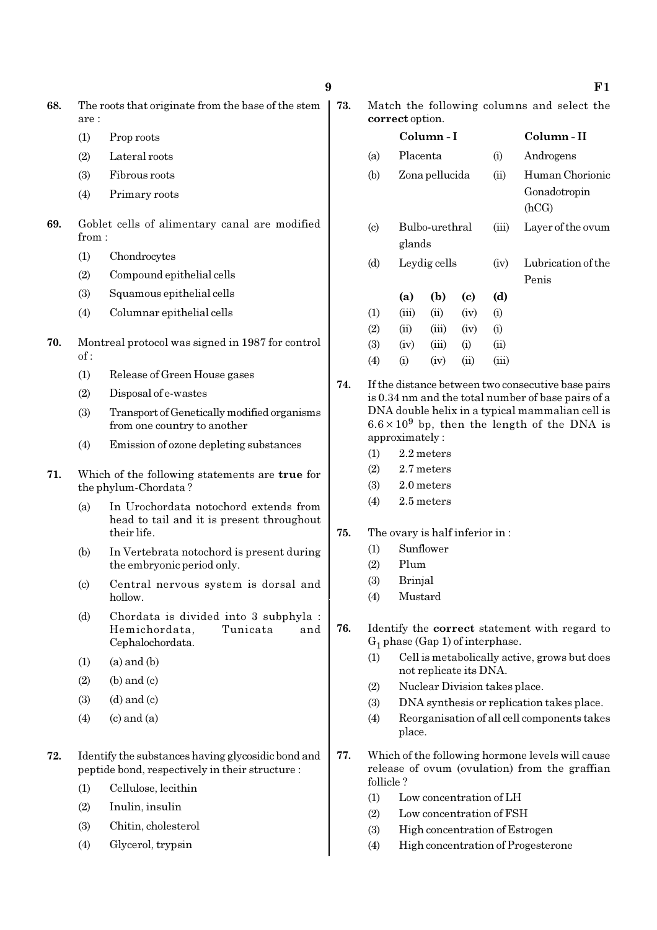- 68. The roots that originate from the base of the stem are :
	- (1) Prop roots
	- (2) Lateral roots
	- (3) Fibrous roots
	- (4) Primary roots
- 69. Goblet cells of alimentary canal are modified from :
	- (1) Chondrocytes
	- (2) Compound epithelial cells
	- (3) Squamous epithelial cells
	- (4) Columnar epithelial cells
- 70. Montreal protocol was signed in 1987 for control of :
	- (1) Release of Green House gases
	- (2) Disposal of e-wastes
	- (3) Transport of Genetically modified organisms from one country to another
	- (4) Emission of ozone depleting substances
- 71. Which of the following statements are true for the phylum-Chordata ?
	- (a) In Urochordata notochord extends from head to tail and it is present throughout their life.
	- (b) In Vertebrata notochord is present during the embryonic period only.
	- (c) Central nervous system is dorsal and hollow.
	- (d) Chordata is divided into 3 subphyla : Hemichordata, Tunicata and Cephalochordata.
	- $(1)$   $(a)$  and  $(b)$
	- $(2)$  (b) and  $(c)$
	- $(3)$   $(d)$  and  $(c)$
	- $(4)$   $(c)$  and  $(a)$
- 72. Identify the substances having glycosidic bond and peptide bond, respectively in their structure :
	- (1) Cellulose, lecithin
	- (2) Inulin, insulin
	- (3) Chitin, cholesterol
	- (4) Glycerol, trypsin

73. Match the following columns and select the correct option.

|                            |          | Column - I     |      | Column - II |                    |
|----------------------------|----------|----------------|------|-------------|--------------------|
| (a)                        | Placenta |                |      | (i)         | Androgens          |
| (b)                        |          | Zona pellucida |      | (ii)        | Human Chorionic    |
|                            |          |                |      |             | Gonadotropin       |
|                            |          |                |      |             | (hCG)              |
| $\left( \mathrm{c}\right)$ |          | Bulbo-urethral |      | (iii)       | Layer of the ovum  |
|                            |          | glands         |      |             |                    |
| (d)                        |          | Leydig cells   |      | (iv)        | Lubrication of the |
|                            |          |                |      |             | Penis              |
|                            | (a)      | (b)            | (c)  | (d)         |                    |
| (1)                        | (iii)    | (ii)           | (iv) | (i)         |                    |
| (2)                        | (ii)     | (iii)          | (iv) | (i)         |                    |
| (3)                        | (iv)     | (iii)          | (i)  | (ii)        |                    |
| (4)                        | $\rm(i)$ | (iv)           | (ii) | (iii)       |                    |

- 74. If the distance between two consecutive base pairs is 0.34 nm and the total number of base pairs of a DNA double helix in a typical mammalian cell is  $6.6 \times 10^9$  bp, then the length of the DNA is approximately :
	- (1) 2.2 meters
	- (2) 2.7 meters
	- (3) 2.0 meters
	- (4) 2.5 meters
- 75. The ovary is half inferior in :
	- (1) Sunflower
	- (2) Plum
	- (3) Brinjal
	- (4) Mustard
- 76. Identify the correct statement with regard to  $G_1$  phase (Gap 1) of interphase.
	- (1) Cell is metabolically active, grows but does not replicate its DNA.
	- (2) Nuclear Division takes place.
	- (3) DNA synthesis or replication takes place.
	- (4) Reorganisation of all cell components takes place.
- 77. Which of the following hormone levels will cause release of ovum (ovulation) from the graffian follicle ?
	- (1) Low concentration of LH
	- (2) Low concentration of FSH
	- (3) High concentration of Estrogen
	- (4) High concentration of Progesterone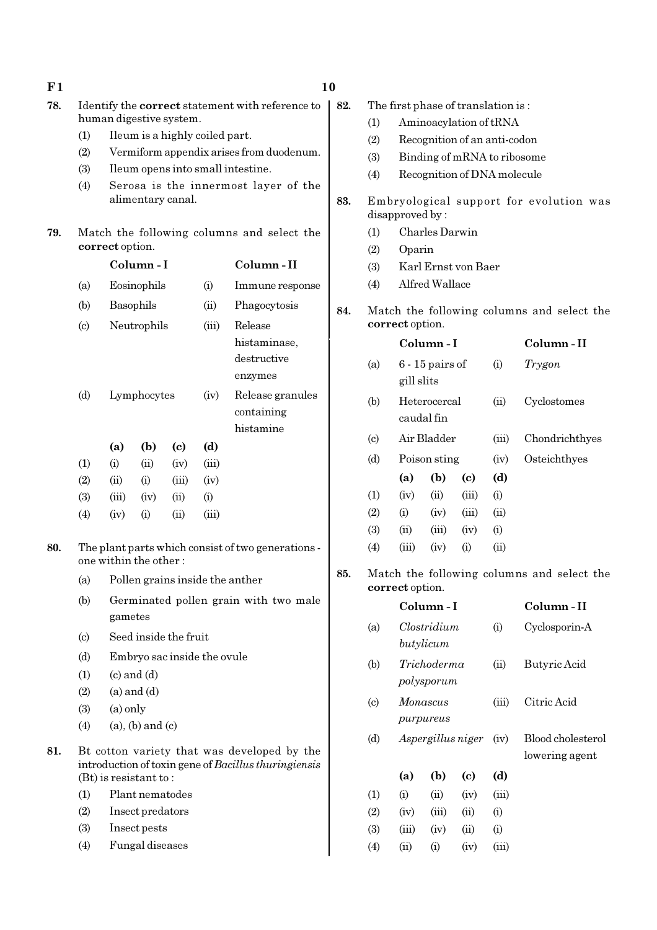| F1  |                                                                                                                     | 10                                                                          |                         |                             |       |                                          |                     |                                            |                             |                              |                        |             |                   |
|-----|---------------------------------------------------------------------------------------------------------------------|-----------------------------------------------------------------------------|-------------------------|-----------------------------|-------|------------------------------------------|---------------------|--------------------------------------------|-----------------------------|------------------------------|------------------------|-------------|-------------------|
| 78. | Identify the correct statement with reference to                                                                    |                                                                             |                         |                             |       | 82.                                      |                     | The first phase of translation is:         |                             |                              |                        |             |                   |
|     |                                                                                                                     | human digestive system.<br>Ileum is a highly coiled part.                   |                         |                             |       |                                          |                     | (1)                                        |                             |                              | Aminoacylation of tRNA |             |                   |
|     | (1)                                                                                                                 |                                                                             |                         |                             |       |                                          |                     | (2)                                        |                             | Recognition of an anti-codon |                        |             |                   |
|     | (2)                                                                                                                 |                                                                             |                         |                             |       | Vermiform appendix arises from duodenum. |                     | (3)                                        |                             | Binding of mRNA to ribosome  |                        |             |                   |
|     | (3)                                                                                                                 |                                                                             |                         |                             |       | Ileum opens into small intestine.        |                     | (4)                                        | Recognition of DNA molecule |                              |                        |             |                   |
|     | (4)                                                                                                                 |                                                                             |                         |                             |       | Serosa is the innermost layer of the     | 83.                 | Embryological support for evolution was    |                             |                              |                        |             |                   |
|     | alimentary canal.                                                                                                   |                                                                             |                         |                             |       |                                          |                     | disapproved by:                            |                             |                              |                        |             |                   |
| 79. | Match the following columns and select the                                                                          |                                                                             |                         |                             |       |                                          |                     | (1)                                        |                             | Charles Darwin               |                        |             |                   |
|     |                                                                                                                     | correct option.                                                             |                         |                             |       |                                          |                     |                                            | Oparin                      |                              |                        |             |                   |
|     | Column-I                                                                                                            |                                                                             |                         |                             |       | Column-II                                |                     | (3)                                        |                             |                              | Karl Ernst von Baer    |             |                   |
|     | (a)                                                                                                                 | Eosinophils<br>(i)                                                          |                         |                             |       | Immune response                          |                     | Alfred Wallace<br>(4)                      |                             |                              |                        |             |                   |
|     | (b)                                                                                                                 | Basophils                                                                   |                         |                             | (ii)  | Phagocytosis                             | 84.                 | Match the following columns and select the |                             |                              |                        |             |                   |
|     | $\left( \text{c} \right)$                                                                                           | Neutrophils                                                                 |                         |                             | (iii) | Release                                  |                     | correct option.                            |                             |                              |                        |             |                   |
|     |                                                                                                                     |                                                                             |                         |                             |       | histaminase,                             |                     | Column-I                                   |                             |                              |                        | Column-II   |                   |
|     |                                                                                                                     |                                                                             |                         |                             |       | destructive                              |                     | (a)                                        | $6 - 15$ pairs of           |                              | (i)                    | Trygon      |                   |
|     |                                                                                                                     |                                                                             |                         | enzymes                     |       |                                          |                     | gill slits                                 |                             |                              |                        |             |                   |
|     | (d)<br>Lymphocytes                                                                                                  |                                                                             | (iv)                    | Release granules            |       | (b)                                      |                     | Heterocercal                               |                             | (ii)                         | Cyclostomes            |             |                   |
|     |                                                                                                                     |                                                                             | containing              |                             |       |                                          | caudal fin          |                                            |                             |                              |                        |             |                   |
|     |                                                                                                                     |                                                                             |                         |                             |       | histamine                                |                     |                                            |                             | Air Bladder                  |                        | (iii)       | Chondrichthyes    |
|     |                                                                                                                     | (a)                                                                         | (b)                     | $\left( \mathbf{c} \right)$ | (d)   |                                          |                     | $\left( \mathrm{c}\right)$                 |                             |                              |                        |             |                   |
|     | (1)                                                                                                                 | (i)                                                                         | (ii)                    | (iv)                        | (iii) |                                          |                     | (d)                                        |                             | Poison sting                 |                        | (iv)        | Osteichthyes      |
|     | (2)                                                                                                                 | (ii)                                                                        | (i)                     | (iii)                       | (iv)  |                                          |                     |                                            | (a)                         | (b)                          | (c)                    | (d)         |                   |
|     | (3)                                                                                                                 | (iii)                                                                       | (iv)                    | (ii)                        | (i)   |                                          |                     | (1)                                        | (iv)                        | (ii)                         | (iii)                  | (i)         |                   |
|     | (4)                                                                                                                 | (iv)                                                                        | (i)                     | (ii)                        | (iii) |                                          |                     | (2)                                        | (i)                         | (iv)                         | (iii)                  | (ii)        |                   |
| 80. |                                                                                                                     | The plant parts which consist of two generations -<br>one within the other: |                         |                             |       |                                          |                     | (3)<br>(4)                                 | (ii)<br>(iii)               | (iii)<br>(iv)                | (iv)<br>(i)            | (i)<br>(ii) |                   |
|     |                                                                                                                     |                                                                             |                         |                             |       |                                          |                     |                                            |                             |                              |                        |             |                   |
|     |                                                                                                                     | Pollen grains inside the anther<br>(a)                                      |                         |                             |       |                                          | 85.                 | Match the following columns and select the |                             |                              |                        |             |                   |
|     | (b)                                                                                                                 | Germinated pollen grain with two male<br>gametes                            |                         |                             |       |                                          |                     | correct option.                            |                             |                              |                        |             |                   |
|     |                                                                                                                     |                                                                             |                         |                             |       |                                          |                     |                                            | Column-I                    |                              |                        |             | Column-II         |
|     | Seed inside the fruit<br>$\left( \mathrm{c}\right)$<br>(d)<br>Embryo sac inside the ovule<br>$(c)$ and $(d)$<br>(1) |                                                                             |                         |                             | (a)   | Clostridium                              |                     | (i)                                        | Cyclosporin-A               |                              |                        |             |                   |
|     |                                                                                                                     |                                                                             |                         |                             |       |                                          |                     | butylicum                                  |                             |                              |                        |             |                   |
|     |                                                                                                                     |                                                                             |                         |                             | (b)   |                                          | Trichoderma<br>(ii) |                                            |                             | Butyric Acid                 |                        |             |                   |
|     | (2)                                                                                                                 | $(a)$ and $(d)$                                                             |                         |                             |       |                                          |                     |                                            |                             | polysporum                   |                        |             |                   |
|     | (3)                                                                                                                 | $(a)$ only                                                                  |                         |                             |       |                                          |                     | $\left( \mathrm{c}\right)$                 |                             | Monascus                     |                        | (iii)       | Citric Acid       |
|     | (4)                                                                                                                 |                                                                             | $(a)$ , $(b)$ and $(c)$ |                             |       |                                          |                     |                                            |                             | purpureus                    |                        |             |                   |
|     |                                                                                                                     |                                                                             |                         |                             |       |                                          |                     | (d)                                        |                             | Aspergillus niger            |                        | (iv)        | Blood cholesterol |
| 81. | Bt cotton variety that was developed by the<br>introduction of toxin gene of Bacillus thuringiensis                 |                                                                             |                         |                             |       |                                          |                     |                                            |                             |                              |                        |             | lowering agent    |
|     |                                                                                                                     | $(Bt)$ is resistant to:                                                     |                         |                             |       |                                          |                     |                                            | (a)                         | (b)                          | (c)                    | (d)         |                   |
|     | (1)                                                                                                                 |                                                                             | Plant nematodes         |                             |       |                                          |                     | (1)                                        | (i)                         | (ii)                         | (iv)                   | (iii)       |                   |
|     | (2)                                                                                                                 |                                                                             | Insect predators        |                             |       |                                          |                     | (2)                                        | (iv)                        | (iii)                        | (ii)                   | (i)         |                   |
|     | (3)                                                                                                                 |                                                                             | Insect pests            |                             |       |                                          |                     | (3)                                        | (iii)                       | (iv)                         | (ii)                   | (i)         |                   |
|     | (4)                                                                                                                 |                                                                             | Fungal diseases         |                             |       |                                          |                     | (4)                                        | (ii)                        | (i)                          | (iv)                   | (iii)       |                   |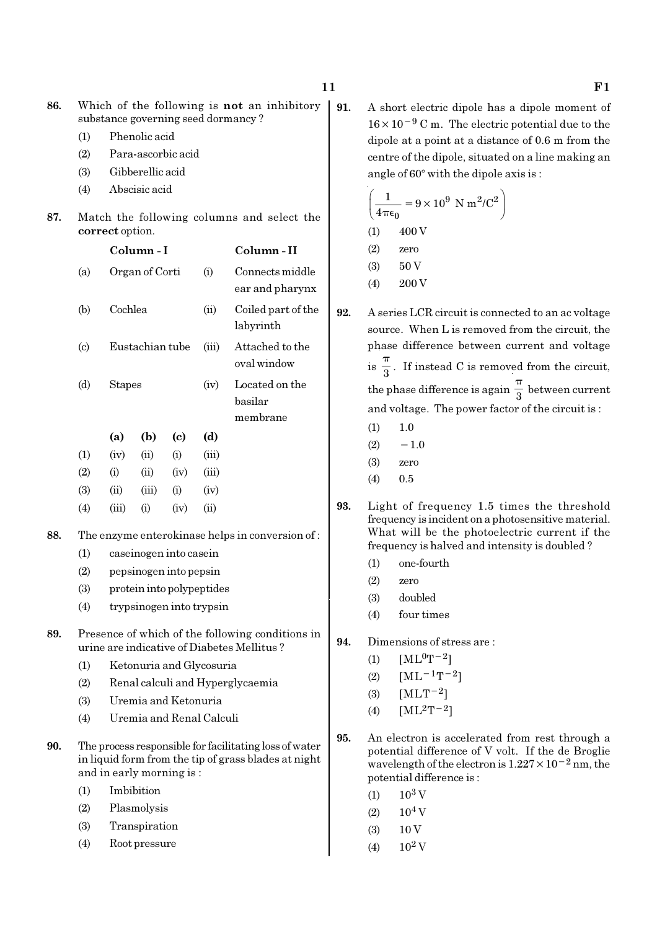86. Which of the following is not an inhibitory substance governing seed dormancy ?

- (1) Phenolic acid
- (2) Para-ascorbic acid
- (3) Gibberellic acid
- (4) Abscisic acid
- 87. Match the following columns and select the correct option.

|                            |       | Column - I      |                            |           | Column - II                           |
|----------------------------|-------|-----------------|----------------------------|-----------|---------------------------------------|
| (a)                        |       | Organ of Corti  |                            | $\rm (i)$ | Connects middle<br>ear and pharynx    |
| (b)                        |       | Cochlea         |                            |           | Coiled part of the<br>labyrinth       |
| $\left( \mathrm{c}\right)$ |       | Eustachian tube |                            |           | Attached to the<br>oval window        |
| (d)                        |       | <b>Stapes</b>   |                            |           | Located on the<br>basilar<br>membrane |
|                            | (a)   | (b)             | $\left( \mathrm{e}\right)$ | (d)       |                                       |
| $\left(1\right)$           | (iv)  | (ii)            | (i)                        | (iii)     |                                       |
| (2)                        | (i)   | (ii)            | (iv)                       | (iii)     |                                       |
| (3)                        | (ii)  | (iii)           | (i)                        | (iv)      |                                       |
| $\left( 4\right)$          | (iii) | (i)             | (iv)                       | (ii)      |                                       |
|                            |       |                 |                            |           |                                       |

- 88. The enzyme enterokinase helps in conversion of :
	- (1) caseinogen into casein
	- (2) pepsinogen into pepsin
	- (3) protein into polypeptides
	- (4) trypsinogen into trypsin
- 89. Presence of which of the following conditions in urine are indicative of Diabetes Mellitus ?
	- (1) Ketonuria and Glycosuria
	- (2) Renal calculi and Hyperglycaemia
	- (3) Uremia and Ketonuria
	- (4) Uremia and Renal Calculi
- 90. The process responsible for facilitating loss of water in liquid form from the tip of grass blades at night and in early morning is :
	- (1) Imbibition
	- (2) Plasmolysis
	- (3) Transpiration
	- (4) Root pressure

91. A short electric dipole has a dipole moment of 16×10−<sup>9</sup> C m. The electric potential due to the dipole at a point at a distance of 0.6 m from the centre of the dipole, situated on a line making an angle of  $60^\circ$  with the dipole axis is :

$$
\left(\frac{1}{4\pi\epsilon_0} = 9 \times 10^9 \text{ N m}^2/\text{C}^2\right)
$$
  
(1) 400 V  
(2) zero  
(3) 50 V  
(4) 200 V

- 92. A series LCR circuit is connected to an ac voltage source. When L is removed from the circuit, the phase difference between current and voltage  $is \frac{1}{3}$ π . If instead C is removed from the circuit, the phase difference is again  $\frac{1}{3}$ π between current and voltage. The power factor of the circuit is :
	- $(1)$  1.0
	- $(2)$  −1.0
	- (3) zero
	- $(4)$  0.5
- 93. Light of frequency 1.5 times the threshold frequency is incident on a photosensitive material. What will be the photoelectric current if the frequency is halved and intensity is doubled ?
	- (1) one-fourth
	- (2) zero
	- (3) doubled
	- (4) four times
- 94. Dimensions of stress are :
	- (1)  $[ML^{0}T^{-2}]$
	- (2)  $[ML<sup>-1</sup>T<sup>-2</sup>]$
	- (3)  $[MLT^{-2}]$
	- (4)  $[ML^2T^{-2}]$
- 95. An electron is accelerated from rest through a potential difference of V volt. If the de Broglie wavelength of the electron is 1.227×10−2 nm, the potential difference is :
	- $(1)$  10<sup>3</sup> V
	- $(2)$  10<sup>4</sup> V
	- $(3)$  10 V
	- $(4)$  10<sup>2</sup> V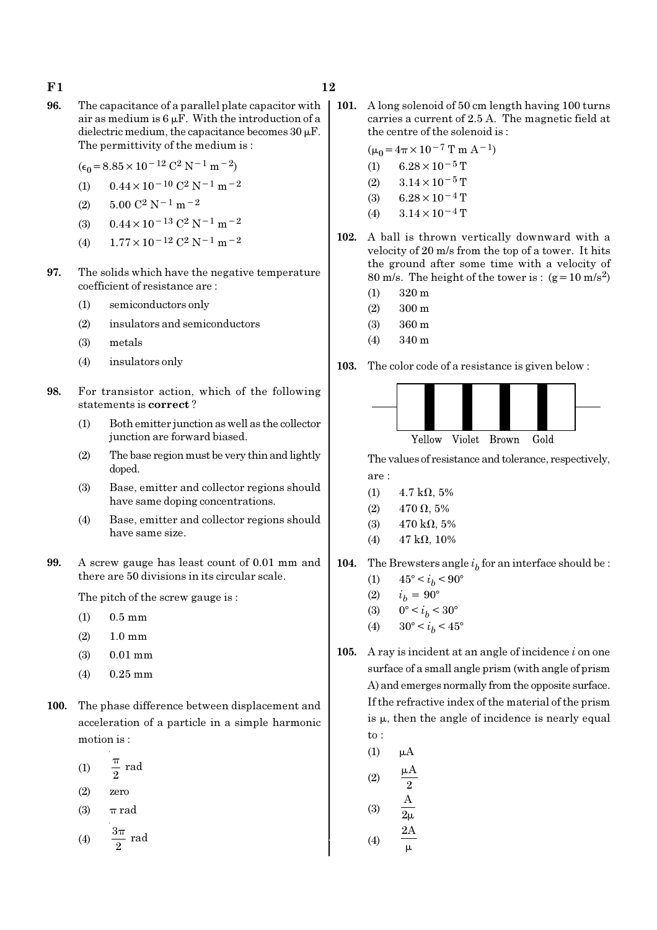- $F1$  12
- 96. The capacitance of a parallel plate capacitor with air as medium is  $6 \mu$ F. With the introduction of a dielectric medium, the capacitance becomes  $30 \mu$ F. The permittivity of the medium is :
	- $(\epsilon_0 = 8.85 \times 10^{-12} \text{ C}^2 \text{ N}^{-1} \text{ m}^{-2})$
	- (1)  $0.44 \times 10^{-10}$  C<sup>2</sup> N<sup>-1</sup> m<sup>-2</sup>
	- (2)  $5.00 \text{ C}^2 \text{ N}^{-1} \text{ m}^{-2}$
	- (3)  $0.44 \times 10^{-13}$  C<sup>2</sup> N<sup>-1</sup> m<sup>-2</sup>
	- (4)  $1.77 \times 10^{-12}$  C<sup>2</sup> N<sup>-1</sup> m<sup>-2</sup>
- 97. The solids which have the negative temperature coefficient of resistance are :
	- (1) semiconductors only
	- (2) insulators and semiconductors
	- (3) metals
	- (4) insulators only
- 98. For transistor action, which of the following statements is correct ?
	- (1) Both emitter junction as well as the collector junction are forward biased.
	- (2) The base region must be very thin and lightly doped.
	- (3) Base, emitter and collector regions should have same doping concentrations.
	- (4) Base, emitter and collector regions should have same size.
- 99. A screw gauge has least count of 0.01 mm and there are 50 divisions in its circular scale.

The pitch of the screw gauge is :

- (1) 0.5 mm
- (2) 1.0 mm
- (3) 0.01 mm
- $(4)$  0.25 mm
- 100. The phase difference between displacement and acceleration of a particle in a simple harmonic motion is :
	- (1)  $\frac{\pi}{2}$  rad π
	- (2) zero
	- (3)  $\pi$  rad

$$
(4) \qquad \frac{3\pi}{2} \text{ rad}
$$

101. A long solenoid of 50 cm length having 100 turns carries a current of 2.5 A. The magnetic field at the centre of the solenoid is :

$$
(\mu_0 = 4\pi \times 10^{-7} \text{ T m A}^{-1})
$$

- (1)  $6.28 \times 10^{-5}$  T
- $(2)$  3.14 × 10<sup>-5</sup> T
- (3) 6.28  $\times$  10<sup>-4</sup> T
- (4)  $3.14 \times 10^{-4}$  T
- 102. A ball is thrown vertically downward with a velocity of 20 m/s from the top of a tower. It hits the ground after some time with a velocity of 80 m/s. The height of the tower is :  $(g=10 \text{ m/s}^2)$ 
	- (1) 320 m
	- (2) 300 m
	- (3) 360 m
	- (4) 340 m

103. The color code of a resistance is given below :



The values of resistance and tolerance, respectively, are :

- (1)  $4.7 \text{ k}\Omega, 5\%$
- (2) 470  $\Omega$ , 5%
- (3)  $470 \text{ k}\Omega, 5\%$
- (4)  $47 k\Omega$ , 10%
- **104.** The Brewsters angle  $i<sub>b</sub>$  for an interface should be :
	- (1)  $45^{\circ} < i_b < 90^{\circ}$
	- (2)  $i_h = 90^\circ$
	- (3)  $0^{\circ} < i_b < 30^{\circ}$
	- (4)  $30^{\circ} < i_b < 45^{\circ}$
- 105. A ray is incident at an angle of incidence  $i$  on one surface of a small angle prism (with angle of prism A) and emerges normally from the opposite surface. If the refractive index of the material of the prism is  $\mu$ , then the angle of incidence is nearly equal to :
	- $(1)$   $\mu$ A

(2) 
$$
\frac{\mu A}{2}
$$
  
\n(3)  $\frac{A}{2\mu}$   
\n(4)  $\frac{2A}{\mu}$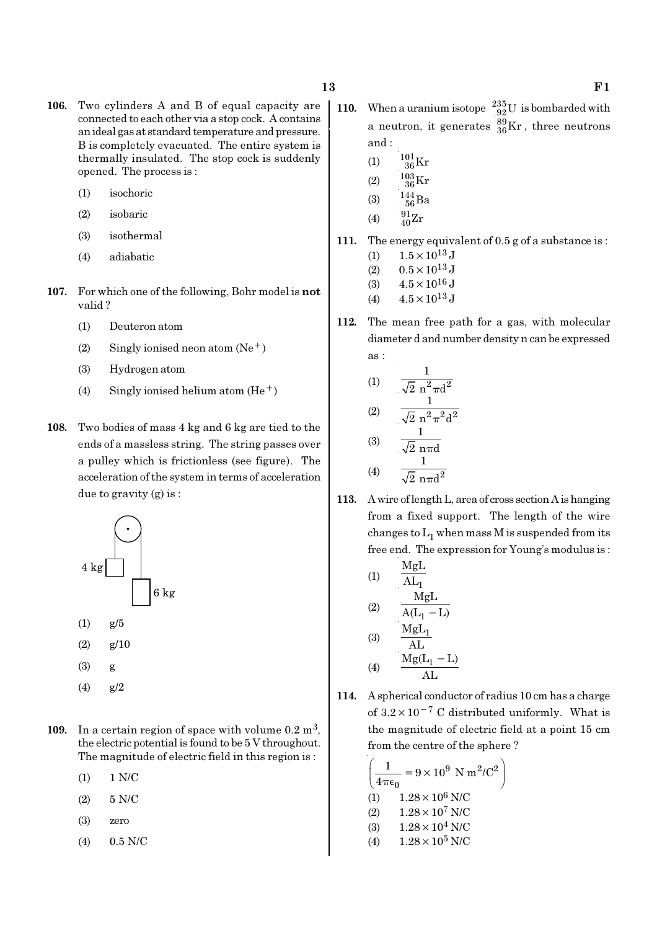- 106. Two cylinders A and B of equal capacity are connected to each other via a stop cock. A contains an ideal gas at standard temperature and pressure. B is completely evacuated. The entire system is thermally insulated. The stop cock is suddenly opened. The process is :
	- (1) isochoric
	- (2) isobaric
	- (3) isothermal
	- (4) adiabatic
- 107. For which one of the following, Bohr model is not valid ?
	- (1) Deuteron atom
	- (2) Singly ionised neon atom  $(Ne^+)$
	- (3) Hydrogen atom
	- (4) Singly ionised helium atom  $(He<sup>+</sup>)$
- 108. Two bodies of mass 4 kg and 6 kg are tied to the ends of a massless string. The string passes over a pulley which is frictionless (see figure). The acceleration of the system in terms of acceleration due to gravity (g) is :



- $(4)$  g/2
- 109. In a certain region of space with volume  $0.2 \text{ m}^3$ , the electric potential is found to be 5 V throughout. The magnitude of electric field in this region is :
	- (1) 1 N/C
	- (2) 5 N/C
	- (3) zero
	- (4) 0.5 N/C
- 110. When a uranium isotope  $^{235}_{92}$ U is bombarded with a neutron, it generates  $^{89}_{36}\text{Kr}$  , three neutrons and :
	- (1)  $\frac{101}{36}$ Kr
	- (2)  $\frac{103}{36} \mathrm{Kr}$
	- (3)  $\frac{144}{56}Ba$
	- (4)  $\frac{91}{40}Zr$
- 111. The energy equivalent of 0.5 g of a substance is :
	- (1)  $1.5 \times 10^{13}$  J
	- (2)  $0.5 \times 10^{13}$  J
	- (3)  $4.5 \times 10^{16}$  J
	- (4)  $4.5 \times 10^{13}$  J
- 112. The mean free path for a gas, with molecular diameter d and number density n can be expressed as :

(1) 
$$
\frac{1}{\sqrt{2} n^2 \pi d^2}
$$
  
\n(2) 
$$
\frac{1}{\sqrt{2} n^2 \pi^2 d^2}
$$
  
\n(3) 
$$
\frac{1}{\sqrt{2} n \pi d}
$$
  
\n(4) 
$$
\frac{1}{\sqrt{2} n \pi d^2}
$$

113. A wire of length L, area of cross section A is hanging from a fixed support. The length of the wire changes to  $\mathrm{L}_1$  when mass M is suspended from its free end. The expression for Young's modulus is :

(1)  
\n
$$
\frac{MgL}{AL_{1}}
$$
\n(2)  
\n
$$
\frac{MgL}{A(L_{1}-L)}
$$
\n(3)  
\n
$$
\frac{MgL_{1}}{AL}
$$
\n(4)  
\n
$$
\frac{Mg(L_{1}-L)}{AL}
$$

114. A spherical conductor of radius 10 cm has a charge of  $3.2 \times 10^{-7}$  C distributed uniformly. What is the magnitude of electric field at a point 15 cm from the centre of the sphere ?

$$
\left(\frac{1}{4\pi\epsilon_0} = 9 \times 10^9 \text{ N m}^2/\text{C}^2\right)
$$
  
(1) 1.28 × 10<sup>6</sup> N/C  
(2) 1.28 × 10<sup>7</sup> N/C  
(3) 1.28 × 10<sup>4</sup> N/C  
(4) 1.28 × 10<sup>5</sup> N/C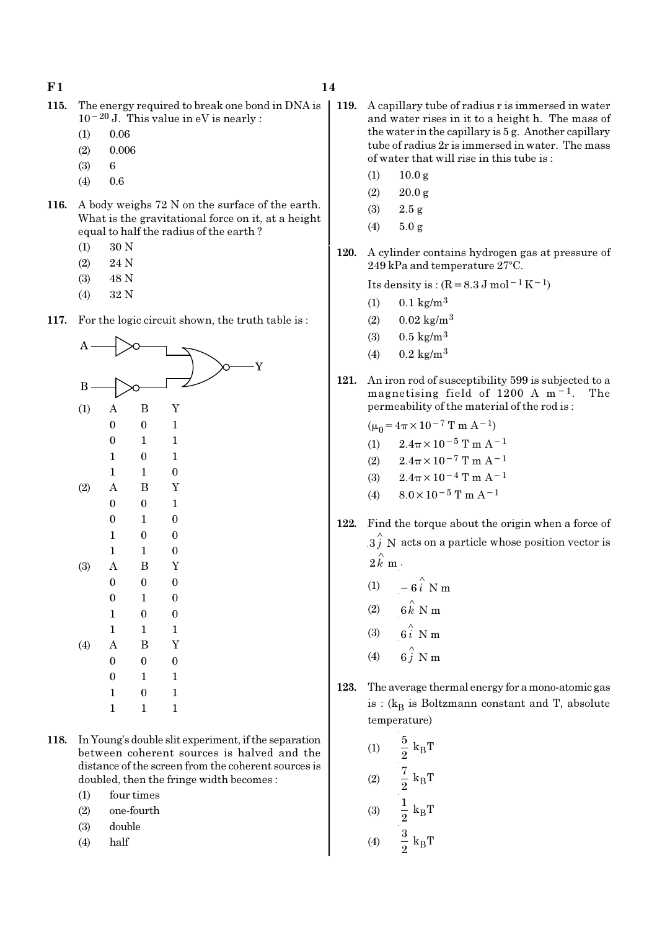- 115. The energy required to break one bond in DNA is 10−20 J. This value in eV is nearly :
	- (1) 0.06
	- (2) 0.006
	- (3) 6
	- $(4)$  0.6
- 116. A body weighs 72 N on the surface of the earth. What is the gravitational force on it, at a height equal to half the radius of the earth ?
	- (1) 30 N
	- (2) 24 N
	- (3) 48 N
	- (4) 32 N
- 117. For the logic circuit shown, the truth table is :



- 118. In Young's double slit experiment, if the separation between coherent sources is halved and the distance of the screen from the coherent sources is doubled, then the fringe width becomes :
	- (1) four times
	- (2) one-fourth
	- (3) double
	- (4) half
- 119. A capillary tube of radius r is immersed in water and water rises in it to a height h. The mass of the water in the capillary is 5 g. Another capillary tube of radius 2r is immersed in water. The mass of water that will rise in this tube is :
	- $(1)$  10.0 g
	- $(2)$  20.0 g
	- (3) 2.5 g
	- $(4)$  5.0 g
- 120. A cylinder contains hydrogen gas at pressure of  $249$  kPa and temperature  $27^{\circ}$ C.

Its density is :  $(R=8.3 J \text{ mol}^{-1} \text{K}^{-1})$ 

- (1)  $0.1 \text{ kg/m}^3$
- (2)  $0.02 \text{ kg/m}^3$
- (3)  $0.5 \text{ kg/m}^3$
- (4)  $0.2 \text{ kg/m}^3$
- 121. An iron rod of susceptibility 599 is subjected to a magnetising field of 1200 A m−1. The permeability of the material of the rod is :

 $(\mu_0=4\pi\times10^{-7}$  T m A<sup>-1</sup>)

- (1)  $2.4\pi \times 10^{-5}$  T m A<sup>-1</sup>
- (2)  $2.4\pi \times 10^{-7}$  T m A<sup>-1</sup>
- (3)  $2.4\pi \times 10^{-4}$  T m A<sup>-1</sup>
- (4)  $8.0 \times 10^{-5}$  T m A<sup>-1</sup>
- 122. Find the torque about the origin when a force of  $\overset{\sim}{3}$  N acts on a particle whose position vector is  $2 \hat{k}$  m.
	- (1)  $-6\hat{i}$  N m
	- (2)  $6 \stackrel{\wedge}{k}$  N m
	- (3)  $6i \text{ N m}$
	- (4)  $6\hat{j}$  N m
- 123. The average thermal energy for a mono-atomic gas is : ( $\rm{k_{B}}$  is Boltzmann constant and T, absolute temperature)

(1) 
$$
\frac{5}{2} k_{B}T
$$
  
\n(2)  $\frac{7}{2} k_{B}T$   
\n(3)  $\frac{1}{2} k_{B}T$   
\n(4)  $\frac{3}{2} k_{B}T$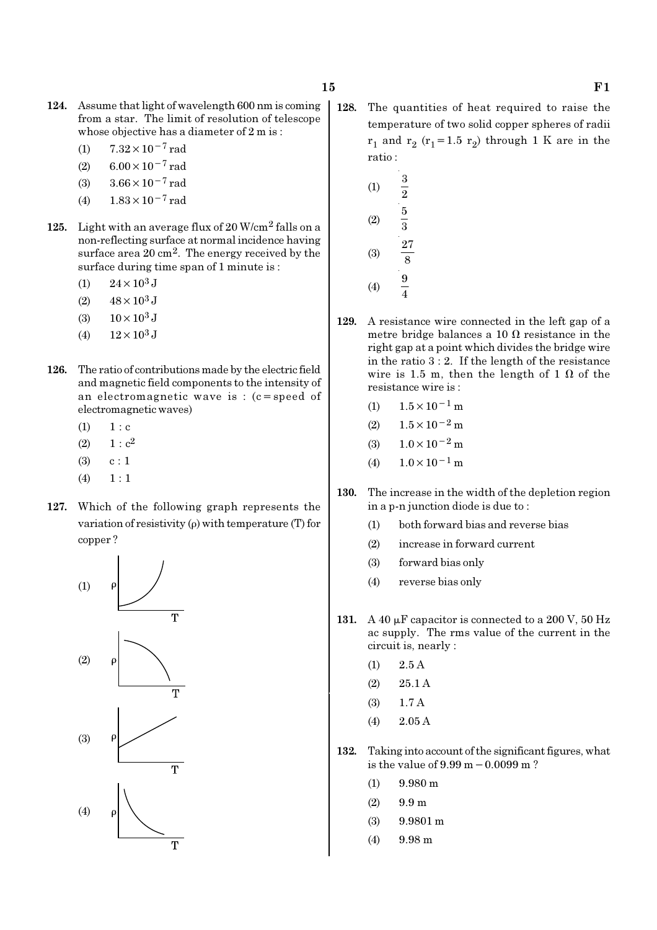- 124. Assume that light of wavelength 600 nm is coming from a star. The limit of resolution of telescope whose objective has a diameter of 2 m is :
	- (1)  $7.32 \times 10^{-7}$  rad
	- (2)  $6.00 \times 10^{-7}$  rad
	- (3)  $3.66 \times 10^{-7}$  rad
	- (4)  $1.83 \times 10^{-7}$  rad
- 125. Light with an average flux of  $20 \text{ W/cm}^2$  falls on a non-reflecting surface at normal incidence having surface area 20 cm2. The energy received by the surface during time span of 1 minute is :
	- (1)  $24 \times 10^3$  J
	- (2)  $48 \times 10^3$  J
	- (3)  $10 \times 10^3$  J
	- (4)  $12 \times 10^3$  J
- 126. The ratio of contributions made by the electric field and magnetic field components to the intensity of an electromagnetic wave is : (c=speed of electromagnetic waves)
	- $(1) 1 : c$
	- (2)  $1 : c^2$
	- $(3)$  c : 1
	- $(4) \quad 1 : 1$
- 127. Which of the following graph represents the variation of resistivity (ρ) with temperature (T) for copper ?



- 128. The quantities of heat required to raise the temperature of two solid copper spheres of radii  $r_1$  and  $r_2$  ( $r_1$ =1.5  $r_2$ ) through 1 K are in the ratio :
	- (1) 3  $\overline{2}$ (2) 5 3 (3) 27 8 (4) 9 4
- 129. A resistance wire connected in the left gap of a metre bridge balances a 10  $\Omega$  resistance in the right gap at a point which divides the bridge wire in the ratio 3 : 2. If the length of the resistance wire is 1.5 m, then the length of 1  $\Omega$  of the resistance wire is :
	- (1)  $1.5 \times 10^{-1}$  m
	- (2)  $1.5 \times 10^{-2}$  m
	- (3)  $1.0 \times 10^{-2}$  m
	- (4)  $1.0 \times 10^{-1}$  m
- 130. The increase in the width of the depletion region in a p-n junction diode is due to :
	- (1) both forward bias and reverse bias
	- (2) increase in forward current
	- (3) forward bias only
	- (4) reverse bias only
- 131. A 40  $\mu$ F capacitor is connected to a 200 V, 50 Hz ac supply. The rms value of the current in the circuit is, nearly :
	- $(1)$  2.5 A
	- (2) 25.1 A
	- (3) 1.7 A
	- (4) 2.05 A
- 132. Taking into account of the significant figures, what is the value of 9.99 m−0.0099 m ?
	- $(1)$  9.980 m
	- $(2)$  9.9 m
	- (3) 9.9801 m
	- (4) 9.98 m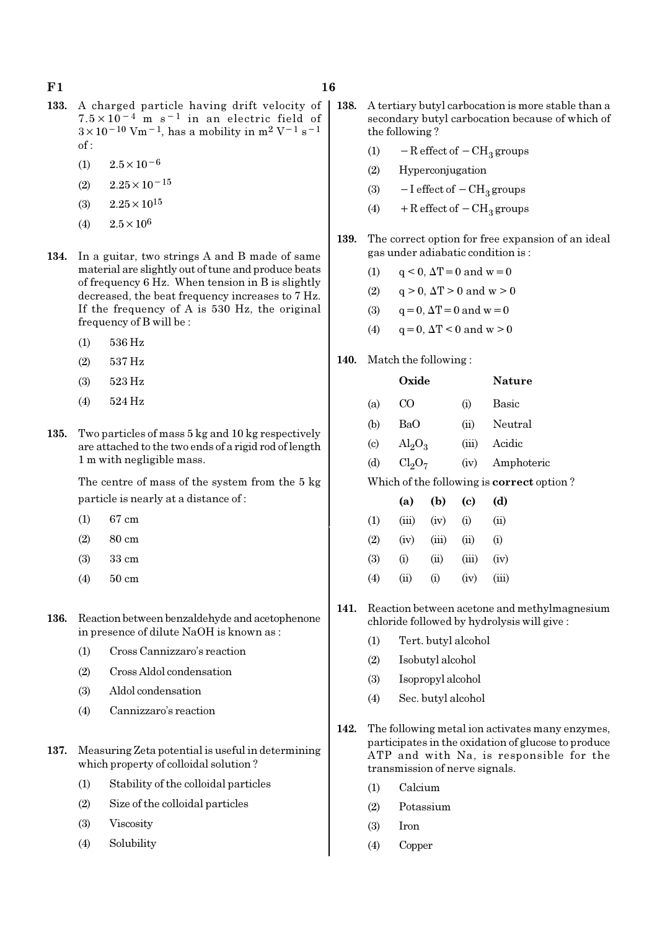- 133. A charged particle having drift velocity of  $7.5 \times 10^{-4}$  m s<sup>-1</sup> in an electric field of  $3 \times 10^{-10}$  Vm<sup>-1</sup>, has a mobility in m<sup>2</sup> V<sup>-1</sup> s<sup>-1</sup>  $of:$ 
	- $(1)$  2.5×10<sup>-6</sup>
	- $(2)$  2.25 × 10<sup>-15</sup>
	- (3)  $2.25 \times 10^{15}$
	- (4)  $2.5 \times 10^6$
- 134. In a guitar, two strings A and B made of same material are slightly out of tune and produce beats of frequency 6 Hz. When tension in B is slightly decreased, the beat frequency increases to 7 Hz. If the frequency of A is 530 Hz, the original frequency of B will be :
	- (1) 536 Hz
	- (2) 537 Hz
	- (3) 523 Hz
	- (4) 524 Hz
- 135. Two particles of mass 5 kg and 10 kg respectively are attached to the two ends of a rigid rod of length 1 m with negligible mass.

The centre of mass of the system from the 5 kg particle is nearly at a distance of :

- (1) 67 cm
- (2) 80 cm
- (3) 33 cm
- (4) 50 cm
- 136. Reaction between benzaldehyde and acetophenone in presence of dilute NaOH is known as :
	- (1) Cross Cannizzaro's reaction
	- (2) Cross Aldol condensation
	- (3) Aldol condensation
	- (4) Cannizzaro's reaction
- 137. Measuring Zeta potential is useful in determining which property of colloidal solution ?
	- (1) Stability of the colloidal particles
	- (2) Size of the colloidal particles
	- (3) Viscosity
	- (4) Solubility
- 138. A tertiary butyl carbocation is more stable than a secondary butyl carbocation because of which of the following ?
	- (1)  $-$  R effect of  $-$  CH<sub>3</sub> groups
	- (2) Hyperconjugation
	- (3)  $-I$  effect of  $-CH<sub>3</sub>$  groups
	- (4) + R effect of  $-CH<sub>3</sub>$  groups
- 139. The correct option for free expansion of an ideal gas under adiabatic condition is :
	- (1)  $q < 0$ ,  $\Delta T = 0$  and  $w = 0$
	- (2)  $q > 0$ ,  $\Delta T > 0$  and  $w > 0$
	- (3)  $q = 0, \Delta T = 0 \text{ and } w = 0$
	- (4)  $q = 0$ ,  $\Delta T < 0$  and  $w > 0$
- 140. Match the following :

|                             | Oxide                   |       | <b>Nature</b> |
|-----------------------------|-------------------------|-------|---------------|
| (a)                         | CO                      | (i)   | Basic         |
| (b)                         | BaO                     | (ii)  | Neutral       |
| $\left( \mathrm{c} \right)$ | $\text{Al}_2\text{O}_3$ | (iii) | Acidic        |
| (d)                         | $Cl_2O_7$               | (iv)  | Amphoteric    |

Which of the following is correct option ?

|     | (a)   | (b)      | (c)      | (d)    |
|-----|-------|----------|----------|--------|
| (1) | (iii) | (iv)     | $\rm(i)$ | $\sin$ |
| (2) | (iv)  | (iii)    | (ii)     | (i)    |
| (3) | (i)   | (ii)     | (iii)    | (iv)   |
| (4) | (ii)  | $\rm(i)$ | (iv)     | (iii)  |

- 141. Reaction between acetone and methylmagnesium chloride followed by hydrolysis will give :
	- (1) Tert. butyl alcohol
	- (2) Isobutyl alcohol
	- (3) Isopropyl alcohol
	- (4) Sec. butyl alcohol
- 142. The following metal ion activates many enzymes, participates in the oxidation of glucose to produce ATP and with Na, is responsible for the transmission of nerve signals.
	- (1) Calcium
	- (2) Potassium
	- (3) Iron
	- (4) Copper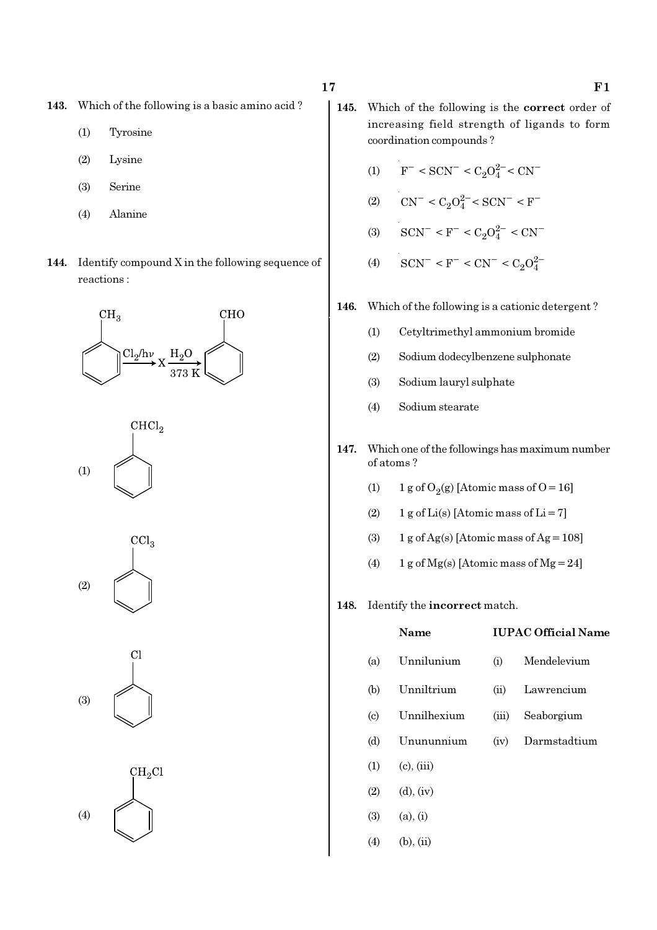- 143. Which of the following is a basic amino acid ?
	- (1) Tyrosine
	- (2) Lysine
	- (3) Serine
	- (4) Alanine
- 144. Identify compound X in the following sequence of reactions :











- 145. Which of the following is the correct order of increasing field strength of ligands to form coordination compounds ?
	- (1)  $F^- < \text{SCN}^- < C_2 O_4^{2-} < \text{CN}^-$
	- (2)  $CN^- < C_2O_4^{2-} < SCN^- < F^-$
	- (3)  $\text{SCN}^-$  < F<sup>-</sup> < C<sub>2</sub>O<sub>4</sub><sup>2-</sup> < CN<sup>-</sup>
	- (4)  $\text{SCN}^-$  <  $\text{F}^-$  <  $\text{CN}^-$  <  $\text{C}_2\text{O}_4^{2-}$
- 146. Which of the following is a cationic detergent ?
	- (1) Cetyltrimethyl ammonium bromide
	- (2) Sodium dodecylbenzene sulphonate
	- (3) Sodium lauryl sulphate
	- (4) Sodium stearate
- 147. Which one of the followings has maximum number of atoms ?
	- (1) 1 g of  $O_2(g)$  [Atomic mass of O = 16]
	- (2)  $1 g$  of Li(s) [Atomic mass of Li = 7]
	- (3)  $1 g$  of Ag(s) [Atomic mass of Ag = 108]
	- (4) 1 g of Mg(s) [Atomic mass of Mg = 24]

#### 148. Identify the incorrect match.

|     | Name            | <b>IUPAC Official Name</b> |              |  |  |
|-----|-----------------|----------------------------|--------------|--|--|
| (a) | Unnilunium      | (i)                        | Mendelevium  |  |  |
| (b) | Unniltrium      | (ii)                       | Lawrencium   |  |  |
| (c) | Unnilhexium     | (iii)                      | Seaborgium   |  |  |
| (d) | Unununnium      | (iv)                       | Darmstadtium |  |  |
| (1) | $(c)$ , $(iii)$ |                            |              |  |  |
| (2) | $(d)$ , $(iv)$  |                            |              |  |  |
| (3) | (a), (i)        |                            |              |  |  |

 $(4)$  (b), (ii)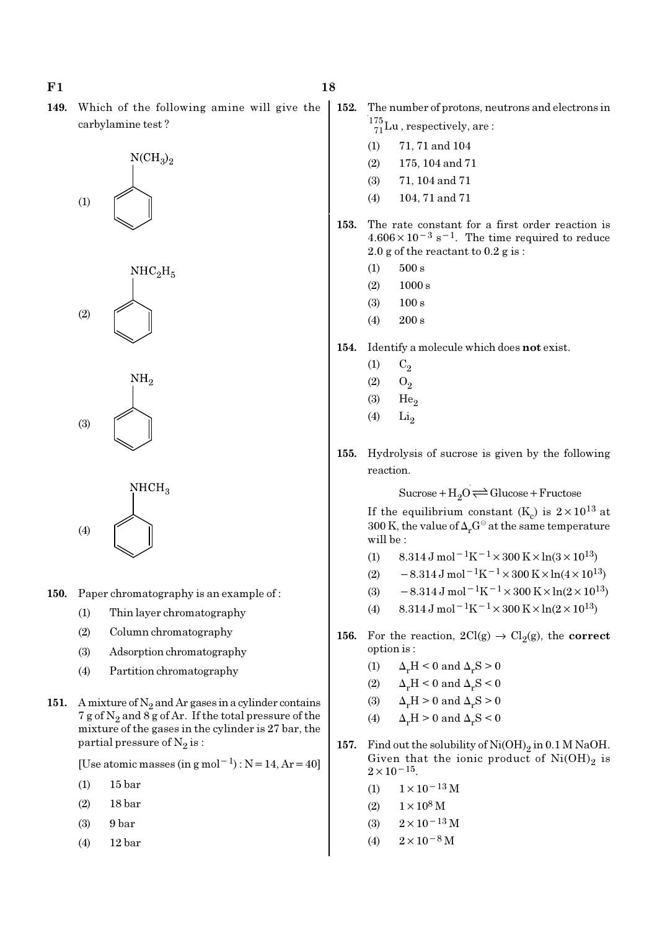149. Which of the following amine will give the carbylamine test ?









- 150. Paper chromatography is an example of :
	- (1) Thin layer chromatography
	- (2) Column chromatography
	- (3) Adsorption chromatography
	- (4) Partition chromatography
- 151. A mixture of  $N_2$  and Ar gases in a cylinder contains  $7$  g of  $\mathrm{N}_2$  and  $8$  g of Ar. If the total pressure of the mixture of the gases in the cylinder is 27 bar, the partial pressure of  $\mathrm{N}_2 \, \mathrm{is}$  :

[Use atomic masses (in g mol<sup>-1</sup>) : N = 14, Ar = 40]

- (1) 15 bar
- (2) 18 bar
- (3) 9 bar
- (4) 12 bar
- 152. The number of protons, neutrons and electrons in  $^{175}_{71}$ Lu, respectively, are:
	- (1) 71, 71 and 104
	- (2) 175, 104 and 71
	- (3) 71, 104 and 71
	- (4) 104, 71 and 71
- 153. The rate constant for a first order reaction is  $4.606 \times 10^{-3}$  s<sup>-1</sup>. The time required to reduce 2.0 g of the reactant to 0.2 g is :
	- $(1)$  500 s
	- $(2)$  1000 s
	- (3) 100 s
	- $(4)$  200 s
- 154. Identify a molecule which does not exist.
	- $(1)$   $C_2$
	- $(2)$   $O_2$
	- $(3)$  He<sub>2</sub>
	- $(4)$  Li<sub>2</sub>
- 155. Hydrolysis of sucrose is given by the following reaction.

 $Sucrose+H_2O \rightleftharpoons Glucose+Fructose$ 

If the equilibrium constant (K<sub>c</sub>) is  $2 \times 10^{13}$  at 300 K, the value of  $\Delta_r G^\ominus$  at the same temperature will be :

- (1)  $8.314 \text{ J mol}^{-1}\text{K}^{-1} \times 300 \text{ K} \times \ln(3 \times 10^{13})$
- (2)  $-8.314 \text{ J mol}^{-1} \text{K}^{-1} \times 300 \text{ K} \times \ln(4 \times 10^{13})$
- (3)  $-8.314 \,\mathrm{J} \,\mathrm{mol}^{-1} \mathrm{K}^{-1} \times 300 \,\mathrm{K} \times \ln(2 \times 10^{13})$
- (4)  $8.314 \text{ J mol}^{-1}\text{K}^{-1} \times 300 \text{ K} \times \ln(2 \times 10^{13})$
- 156. For the reaction,  $2Cl(g) \rightarrow Cl_2(g)$ , the correct option is :
	- (1)  $\Delta_r H \leq 0$  and  $\Delta_r S > 0$
	- (2)  $\Delta_r H \leq 0$  and  $\Delta_r S \leq 0$
	- (3)  $\Delta_r H > 0$  and  $\Delta_r S > 0$

(4) 
$$
\Delta_r H > 0
$$
 and  $\Delta_r S < 0$ 

- 157. Find out the solubility of  $\mathrm{Ni(OH)}_{2}$  in 0.1 M NaOH. Given that the ionic product of  $\mathrm{Ni(OH)}_{2}$  is  $2 \times 10^{-15}$ .
	- (1)  $1 \times 10^{-13}$  M
	- $(2)$  1 × 10<sup>8</sup> M
	- (3)  $2 \times 10^{-13}$  M
	- (4)  $2 \times 10^{-8}$  M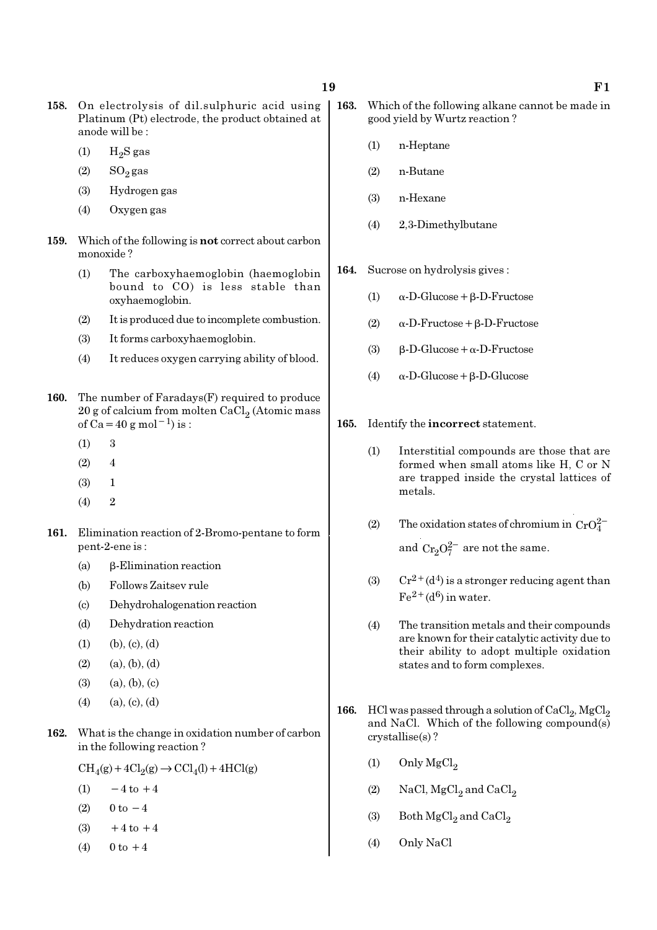- 158. On electrolysis of dil.sulphuric acid using Platinum (Pt) electrode, the product obtained at anode will be :
	- $(1)$  H<sub>2</sub>S gas
	- $(2)$  SO<sub>2</sub> gas
	- (3) Hydrogen gas
	- (4) Oxygen gas
- 159. Which of the following is not correct about carbon monoxide ?
	- (1) The carboxyhaemoglobin (haemoglobin bound to CO) is less stable than oxyhaemoglobin.
	- (2) It is produced due to incomplete combustion.
	- (3) It forms carboxyhaemoglobin.
	- (4) It reduces oxygen carrying ability of blood.
- 160. The number of Faradays(F) required to produce  $20$  g of calcium from molten CaCl $_2$  (Atomic mass of Ca=40 g mol<sup>-1</sup>) is :
	- $(1)$  3
	- $(2) 4$
	- (3) 1
	- $(4)$  2
- 161. Elimination reaction of 2-Bromo-pentane to form pent-2-ene is :
	- (a) β-Elimination reaction
	- (b) Follows Zaitsev rule
	- (c) Dehydrohalogenation reaction
	- (d) Dehydration reaction
	- $(1)$   $(b), (c), (d)$
	- $(2)$   $(a), (b), (d)$
	- $(3)$   $(a), (b), (c)$
	- $(4)$   $(a), (c), (d)$
- 162. What is the change in oxidation number of carbon in the following reaction ?

 $\text{CH}_4(g) + 4\text{Cl}_2(g) \rightarrow \text{CCl}_4(l) + 4\text{HCl}(g)$ 

- (1)  $-4$  to  $+4$
- (2)  $0 \text{ to } -4$
- (3)  $+4$  to  $+4$
- (4)  $0 \text{ to } +4$
- 163. Which of the following alkane cannot be made in good yield by Wurtz reaction ?
	- (1) n-Heptane
	- (2) n-Butane
	- (3) n-Hexane
	- (4) 2,3-Dimethylbutane
- 164. Sucrose on hydrolysis gives :
	- (1) α-D-Glucose+β-D-Fructose
	- (2) α-D-Fructose+β-D-Fructose
	- (3) β-D-Glucose+α-D-Fructose
	- (4) α-D-Glucose+β-D-Glucose
- 165. Identify the incorrect statement.
	- (1) Interstitial compounds are those that are formed when small atoms like H, C or N are trapped inside the crystal lattices of metals.
	- (2) The oxidation states of chromium in  $CrO_4^{2-}$ and  $Cr_2O_7^{2-}$  are not the same.
	- (3) Cr<sup>2+</sup>(d<sup>4</sup>) is a stronger reducing agent than  $Fe<sup>2+</sup>(d<sup>6</sup>)$  in water.
	- (4) The transition metals and their compounds are known for their catalytic activity due to their ability to adopt multiple oxidation states and to form complexes.
- 166. HCl was passed through a solution of  $CaCl_2$ ,  $MgCl_2$ and NaCl. Which of the following compound(s) crystallise(s) ?
	- (1) Only  $MgCl<sub>2</sub>$
	- (2) NaCl,  $MgCl<sub>2</sub>$  and  $CaCl<sub>2</sub>$
	- (3) Both  $\mathrm{MgCl}_2$  and  $\mathrm{CaCl}_2$
	- (4) Only NaCl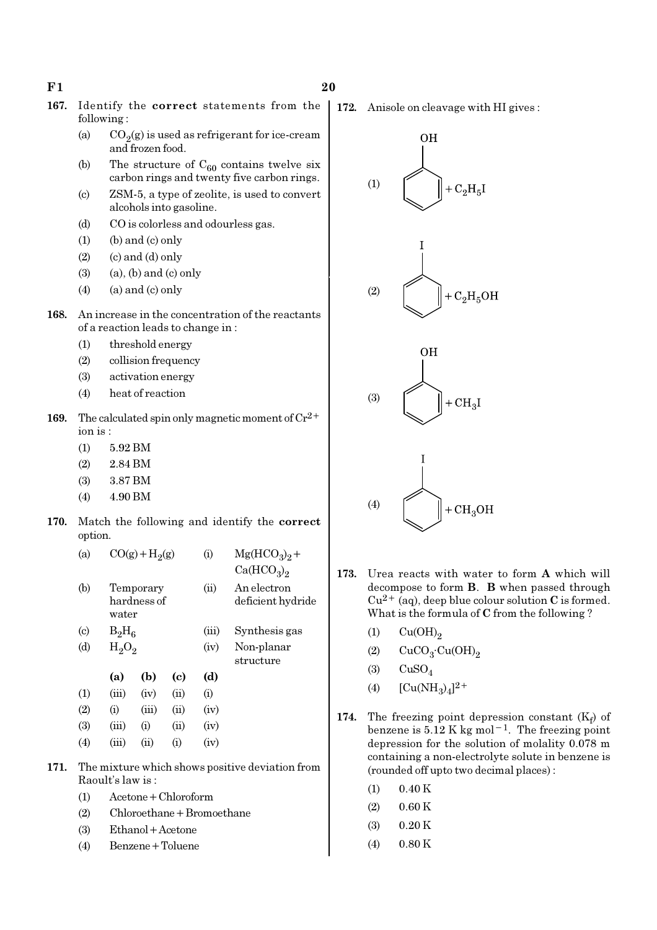$F1$  20

- 167. Identify the correct statements from the following :
	- (a)  $CO_2(g)$  is used as refrigerant for ice-cream and frozen food.
	- (b) The structure of  $C_{60}$  contains twelve six carbon rings and twenty five carbon rings.
	- (c) ZSM-5, a type of zeolite, is used to convert alcohols into gasoline.
	- (d) CO is colorless and odourless gas.
	- $(1)$  (b) and  $(c)$  only
	- $(2)$   $($  c) and  $(d)$  only
	- $(3)$   $(a)$ ,  $(b)$  and  $(c)$  only
	- $(4)$  (a) and (c) only
- 168. An increase in the concentration of the reactants of a reaction leads to change in :
	- (1) threshold energy
	- (2) collision frequency
	- (3) activation energy
	- (4) heat of reaction
- 169. The calculated spin only magnetic moment of  $Cr^{2+}$ ion is :
	- (1) 5.92 BM
	- (2) 2.84 BM
	- (3) 3.87 BM
	- (4) 4.90 BM
- 170. Match the following and identify the correct option.

| (a)                         | $CO(g) + H2(g)$ |                          |      | (i)   | $Mg(HCO3)2 +$                      |
|-----------------------------|-----------------|--------------------------|------|-------|------------------------------------|
|                             |                 |                          |      |       | Ca(HCO <sub>3</sub> ) <sub>2</sub> |
| (b)                         | water           | Temporary<br>hardness of |      | (ii)  | An electron<br>deficient hydride   |
| $\left( \mathrm{c} \right)$ | $B_2H_6$        |                          |      | (iii) | Synthesis gas                      |
| (d)                         | $H_2O_2$        |                          |      | (iv)  | Non-planar<br>structure            |
|                             | (a)             | (b)                      | (c)  | (d)   |                                    |
| (1)                         | (iii)           | (iv)                     | (ii) | (i)   |                                    |
| (2)                         | (i)             | (iii)                    | (ii) | (iv)  |                                    |
| (3)                         | (iii)           | $\rm \scriptstyle (i)$   | (ii) | (iv)  |                                    |
|                             |                 |                          |      |       |                                    |

- (4)  $(iii)$   $(ii)$   $(i)$   $(iv)$
- 171. The mixture which shows positive deviation from Raoult's law is :
	- (1) Acetone+Chloroform
	- (2) Chloroethane+Bromoethane
	- (3) Ethanol+Acetone
	- (4) Benzene+Toluene

172. Anisole on cleavage with HI gives :



- 173. Urea reacts with water to form A which will decompose to form B. B when passed through  $Cu^{2+}$  (aq), deep blue colour solution C is formed. What is the formula of C from the following ?
	- $(1)$   $Cu(OH)_{2}$
	- (2)  $CuCO<sub>3</sub>·Cu(OH)<sub>2</sub>$
	- $(3)$  CuSO<sub>4</sub>
	- (4)  $[Cu(NH_3)_4]^{2+}$
- 174. The freezing point depression constant  $(K_f)$  of benzene is  $5.12$  K kg mol<sup>-1</sup>. The freezing point depression for the solution of molality 0.078 m containing a non-electrolyte solute in benzene is (rounded off upto two decimal places) :
	- $(1)$  0.40 K
	- $(2)$  0.60 K
	- (3) 0.20 K
	- $(4)$  0.80 K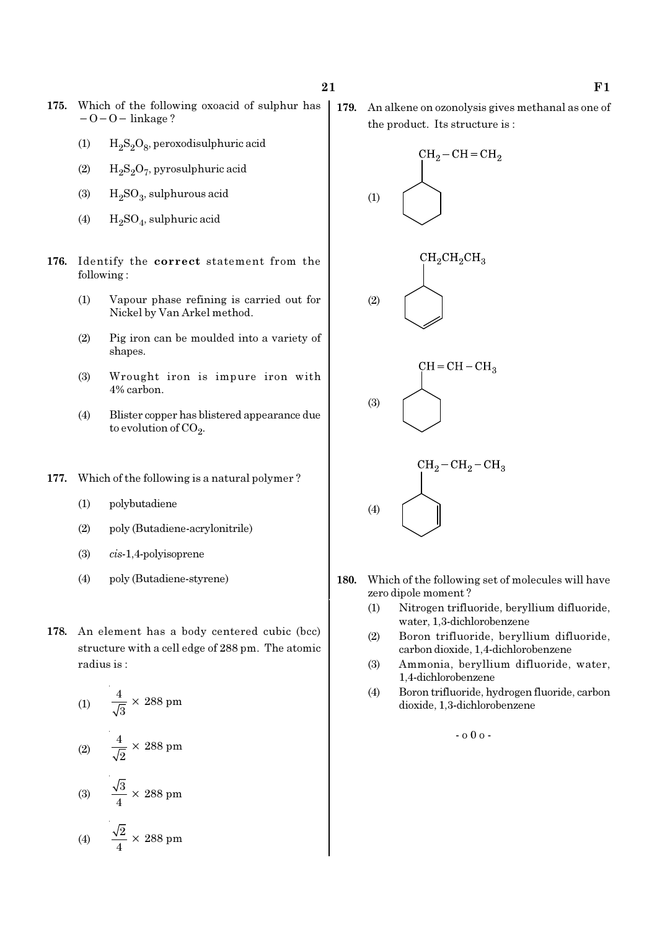- 175. Which of the following oxoacid of sulphur has −O−O− linkage ?
	- (1)  $H_2S_2O_8$ , peroxodisulphuric acid
	- (2)  $H_2S_2O_7$ , pyrosulphuric acid
	- (3)  $H_2SO_3$ , sulphurous acid
	- (4)  $H_2SO_4$ , sulphuric acid
- 176. Identify the correct statement from the following :
	- (1) Vapour phase refining is carried out for Nickel by Van Arkel method.
	- (2) Pig iron can be moulded into a variety of shapes.
	- (3) Wrought iron is impure iron with 4% carbon.
	- (4) Blister copper has blistered appearance due to evolution of CO<sub>2</sub>.
- 177. Which of the following is a natural polymer ?
	- (1) polybutadiene
	- (2) poly (Butadiene-acrylonitrile)
	- (3) cis-1,4-polyisoprene
	- (4) poly (Butadiene-styrene)
- 178. An element has a body centered cubic (bcc) structure with a cell edge of 288 pm. The atomic radius is :

(1) 
$$
\frac{4}{\sqrt{3}} \times 288 \text{ pm}
$$
  
(2) 
$$
\frac{4}{\sqrt{2}} \times 288 \text{ pm}
$$
  
(3) 
$$
\frac{\sqrt{3}}{4} \times 288 \text{ pm}
$$
  
(4) 
$$
\frac{\sqrt{2}}{4} \times 288 \text{ pm}
$$

179. An alkene on ozonolysis gives methanal as one of the product. Its structure is :



- 180. Which of the following set of molecules will have zero dipole moment ?
	- (1) Nitrogen trifluoride, beryllium difluoride, water, 1,3-dichlorobenzene
	- (2) Boron trifluoride, beryllium difluoride, carbon dioxide, 1,4-dichlorobenzene
	- (3) Ammonia, beryllium difluoride, water, 1,4-dichlorobenzene
	- (4) Boron trifluoride, hydrogen fluoride, carbon dioxide, 1,3-dichlorobenzene

 $-0.00 -$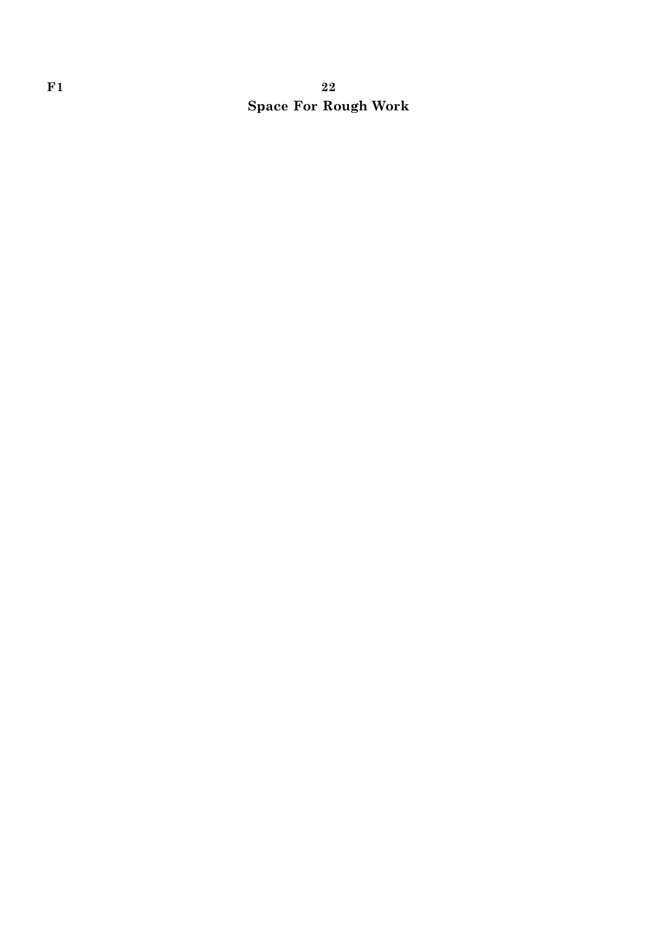# $F1$  and  $22$ Space For Rough Work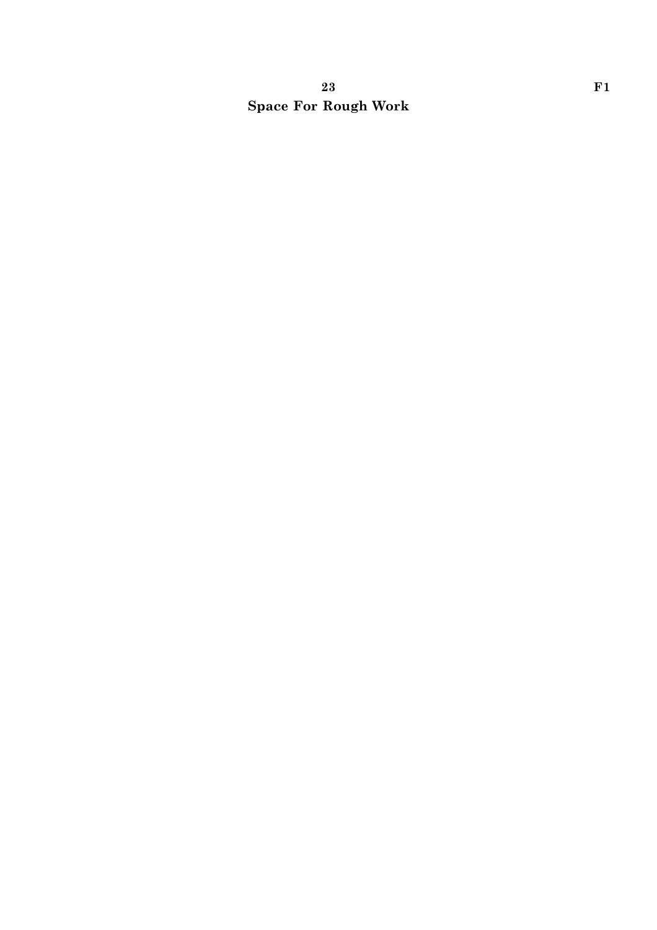# 23 F1 Space For Rough Work